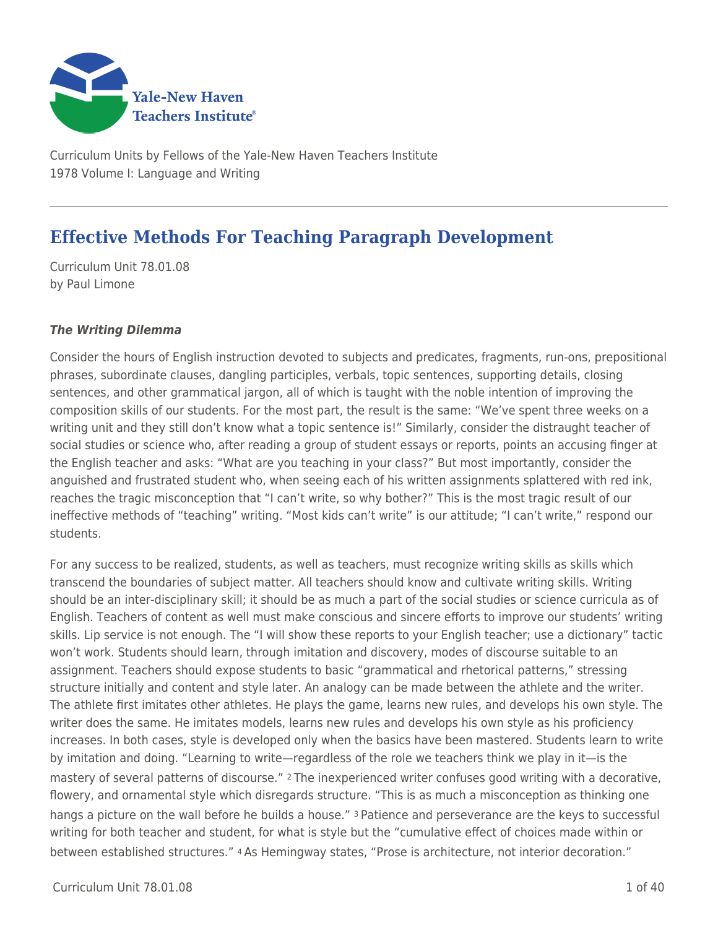

Curriculum Units by Fellows of the Yale-New Haven Teachers Institute 1978 Volume I: Language and Writing

# **Effective Methods For Teaching Paragraph Development**

Curriculum Unit 78.01.08 by Paul Limone

## *The Writing Dilemma*

Consider the hours of English instruction devoted to subjects and predicates, fragments, run-ons, prepositional phrases, subordinate clauses, dangling participles, verbals, topic sentences, supporting details, closing sentences, and other grammatical jargon, all of which is taught with the noble intention of improving the composition skills of our students. For the most part, the result is the same: "We've spent three weeks on a writing unit and they still don't know what a topic sentence is!" Similarly, consider the distraught teacher of social studies or science who, after reading a group of student essays or reports, points an accusing finger at the English teacher and asks: "What are you teaching in your class?" But most importantly, consider the anguished and frustrated student who, when seeing each of his written assignments splattered with red ink, reaches the tragic misconception that "I can't write, so why bother?" This is the most tragic result of our ineffective methods of "teaching" writing. "Most kids can't write" is our attitude; "I can't write," respond our students.

For any success to be realized, students, as well as teachers, must recognize writing skills as skills which transcend the boundaries of subject matter. All teachers should know and cultivate writing skills. Writing should be an inter-disciplinary skill; it should be as much a part of the social studies or science curricula as of English. Teachers of content as well must make conscious and sincere efforts to improve our students' writing skills. Lip service is not enough. The "I will show these reports to your English teacher; use a dictionary" tactic won't work. Students should learn, through imitation and discovery, modes of discourse suitable to an assignment. Teachers should expose students to basic "grammatical and rhetorical patterns," stressing structure initially and content and style later. An analogy can be made between the athlete and the writer. The athlete first imitates other athletes. He plays the game, learns new rules, and develops his own style. The writer does the same. He imitates models, learns new rules and develops his own style as his proficiency increases. In both cases, style is developed only when the basics have been mastered. Students learn to write by imitation and doing. "Learning to write—regardless of the role we teachers think we play in it—is the mastery of several patterns of discourse." 2 The inexperienced writer confuses good writing with a decorative, flowery, and ornamental style which disregards structure. "This is as much a misconception as thinking one hangs a picture on the wall before he builds a house." <sup>3</sup> Patience and perseverance are the keys to successful writing for both teacher and student, for what is style but the "cumulative effect of choices made within or between established structures." 4 As Hemingway states, "Prose is architecture, not interior decoration."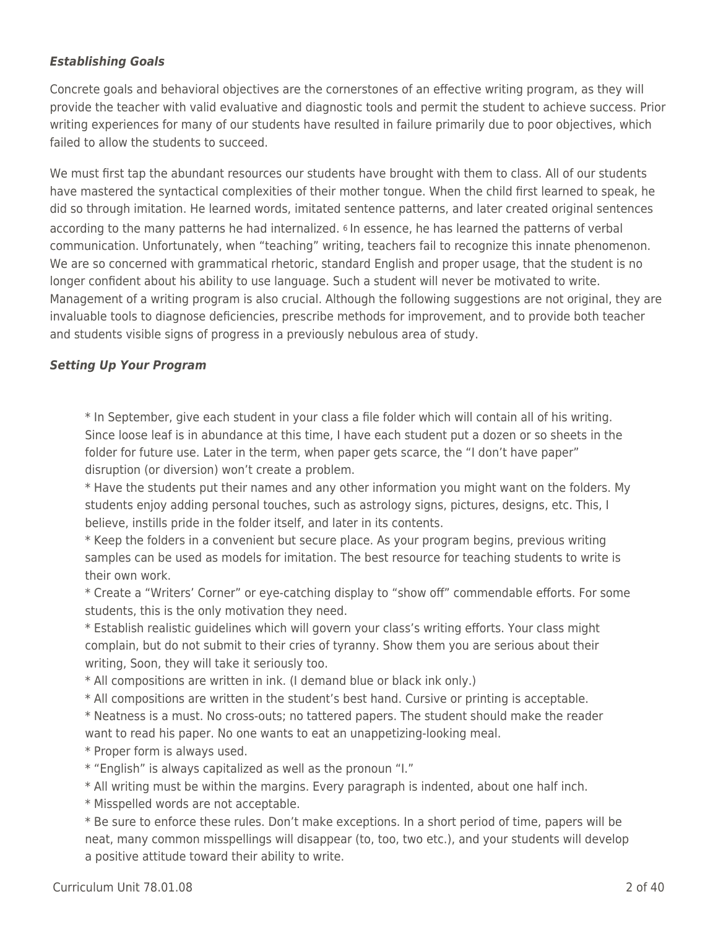## *Establishing Goals*

Concrete goals and behavioral objectives are the cornerstones of an effective writing program, as they will provide the teacher with valid evaluative and diagnostic tools and permit the student to achieve success. Prior writing experiences for many of our students have resulted in failure primarily due to poor objectives, which failed to allow the students to succeed.

We must first tap the abundant resources our students have brought with them to class. All of our students have mastered the syntactical complexities of their mother tongue. When the child first learned to speak, he did so through imitation. He learned words, imitated sentence patterns, and later created original sentences according to the many patterns he had internalized. <sup>6</sup> In essence, he has learned the patterns of verbal communication. Unfortunately, when "teaching" writing, teachers fail to recognize this innate phenomenon. We are so concerned with grammatical rhetoric, standard English and proper usage, that the student is no longer confident about his ability to use language. Such a student will never be motivated to write. Management of a writing program is also crucial. Although the following suggestions are not original, they are invaluable tools to diagnose deficiencies, prescribe methods for improvement, and to provide both teacher and students visible signs of progress in a previously nebulous area of study.

## *Setting Up Your Program*

\* In September, give each student in your class a file folder which will contain all of his writing. Since loose leaf is in abundance at this time, I have each student put a dozen or so sheets in the folder for future use. Later in the term, when paper gets scarce, the "I don't have paper" disruption (or diversion) won't create a problem.

\* Have the students put their names and any other information you might want on the folders. My students enjoy adding personal touches, such as astrology signs, pictures, designs, etc. This, I believe, instills pride in the folder itself, and later in its contents.

\* Keep the folders in a convenient but secure place. As your program begins, previous writing samples can be used as models for imitation. The best resource for teaching students to write is their own work.

\* Create a "Writers' Corner" or eye-catching display to "show off" commendable efforts. For some students, this is the only motivation they need.

\* Establish realistic guidelines which will govern your class's writing efforts. Your class might complain, but do not submit to their cries of tyranny. Show them you are serious about their writing, Soon, they will take it seriously too.

\* All compositions are written in ink. (I demand blue or black ink only.)

\* All compositions are written in the student's best hand. Cursive or printing is acceptable.

\* Neatness is a must. No cross-outs; no tattered papers. The student should make the reader want to read his paper. No one wants to eat an unappetizing-looking meal.

\* Proper form is always used.

\* "English" is always capitalized as well as the pronoun "I."

\* All writing must be within the margins. Every paragraph is indented, about one half inch.

\* Misspelled words are not acceptable.

\* Be sure to enforce these rules. Don't make exceptions. In a short period of time, papers will be neat, many common misspellings will disappear (to, too, two etc.), and your students will develop a positive attitude toward their ability to write.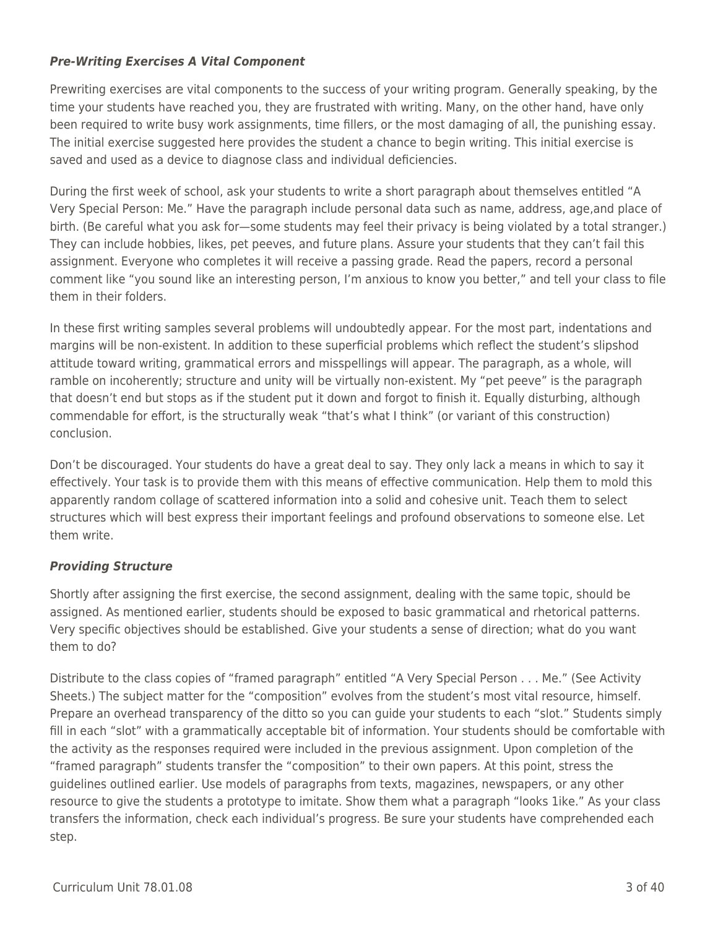## *Pre-Writing Exercises A Vital Component*

Prewriting exercises are vital components to the success of your writing program. Generally speaking, by the time your students have reached you, they are frustrated with writing. Many, on the other hand, have only been required to write busy work assignments, time fillers, or the most damaging of all, the punishing essay. The initial exercise suggested here provides the student a chance to begin writing. This initial exercise is saved and used as a device to diagnose class and individual deficiencies.

During the first week of school, ask your students to write a short paragraph about themselves entitled "A Very Special Person: Me." Have the paragraph include personal data such as name, address, age,and place of birth. (Be careful what you ask for—some students may feel their privacy is being violated by a total stranger.) They can include hobbies, likes, pet peeves, and future plans. Assure your students that they can't fail this assignment. Everyone who completes it will receive a passing grade. Read the papers, record a personal comment like "you sound like an interesting person, I'm anxious to know you better," and tell your class to file them in their folders.

In these first writing samples several problems will undoubtedly appear. For the most part, indentations and margins will be non-existent. In addition to these superficial problems which reflect the student's slipshod attitude toward writing, grammatical errors and misspellings will appear. The paragraph, as a whole, will ramble on incoherently; structure and unity will be virtually non-existent. My "pet peeve" is the paragraph that doesn't end but stops as if the student put it down and forgot to finish it. Equally disturbing, although commendable for effort, is the structurally weak "that's what I think" (or variant of this construction) conclusion.

Don't be discouraged. Your students do have a great deal to say. They only lack a means in which to say it effectively. Your task is to provide them with this means of effective communication. Help them to mold this apparently random collage of scattered information into a solid and cohesive unit. Teach them to select structures which will best express their important feelings and profound observations to someone else. Let them write.

## *Providing Structure*

Shortly after assigning the first exercise, the second assignment, dealing with the same topic, should be assigned. As mentioned earlier, students should be exposed to basic grammatical and rhetorical patterns. Very specific objectives should be established. Give your students a sense of direction; what do you want them to do?

Distribute to the class copies of "framed paragraph" entitled "A Very Special Person . . . Me." (See Activity Sheets.) The subject matter for the "composition" evolves from the student's most vital resource, himself. Prepare an overhead transparency of the ditto so you can guide your students to each "slot." Students simply fill in each "slot" with a grammatically acceptable bit of information. Your students should be comfortable with the activity as the responses required were included in the previous assignment. Upon completion of the "framed paragraph" students transfer the "composition" to their own papers. At this point, stress the guidelines outlined earlier. Use models of paragraphs from texts, magazines, newspapers, or any other resource to give the students a prototype to imitate. Show them what a paragraph "looks 1ike." As your class transfers the information, check each individual's progress. Be sure your students have comprehended each step.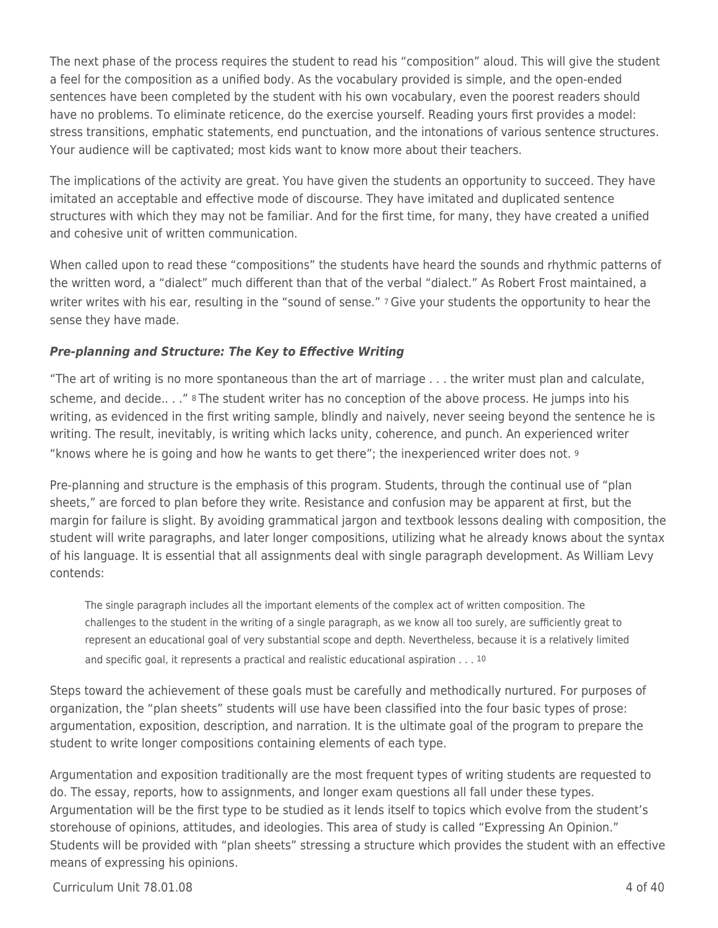The next phase of the process requires the student to read his "composition" aloud. This will give the student a feel for the composition as a unified body. As the vocabulary provided is simple, and the open-ended sentences have been completed by the student with his own vocabulary, even the poorest readers should have no problems. To eliminate reticence, do the exercise yourself. Reading yours first provides a model: stress transitions, emphatic statements, end punctuation, and the intonations of various sentence structures. Your audience will be captivated; most kids want to know more about their teachers.

The implications of the activity are great. You have given the students an opportunity to succeed. They have imitated an acceptable and effective mode of discourse. They have imitated and duplicated sentence structures with which they may not be familiar. And for the first time, for many, they have created a unified and cohesive unit of written communication.

When called upon to read these "compositions" the students have heard the sounds and rhythmic patterns of the written word, a "dialect" much different than that of the verbal "dialect." As Robert Frost maintained, a writer writes with his ear, resulting in the "sound of sense." 7 Give your students the opportunity to hear the sense they have made.

## *Pre-planning and Structure: The Key to Effective Writing*

"The art of writing is no more spontaneous than the art of marriage . . . the writer must plan and calculate, scheme, and decide.. . ." 8 The student writer has no conception of the above process. He jumps into his writing, as evidenced in the first writing sample, blindly and naively, never seeing beyond the sentence he is writing. The result, inevitably, is writing which lacks unity, coherence, and punch. An experienced writer "knows where he is going and how he wants to get there"; the inexperienced writer does not. <sup>9</sup>

Pre-planning and structure is the emphasis of this program. Students, through the continual use of "plan sheets," are forced to plan before they write. Resistance and confusion may be apparent at first, but the margin for failure is slight. By avoiding grammatical jargon and textbook lessons dealing with composition, the student will write paragraphs, and later longer compositions, utilizing what he already knows about the syntax of his language. It is essential that all assignments deal with single paragraph development. As William Levy contends:

The single paragraph includes all the important elements of the complex act of written composition. The challenges to the student in the writing of a single paragraph, as we know all too surely, are sufficiently great to represent an educational goal of very substantial scope and depth. Nevertheless, because it is a relatively limited and specific goal, it represents a practical and realistic educational aspiration . . . 10

Steps toward the achievement of these goals must be carefully and methodically nurtured. For purposes of organization, the "plan sheets" students will use have been classified into the four basic types of prose: argumentation, exposition, description, and narration. It is the ultimate goal of the program to prepare the student to write longer compositions containing elements of each type.

Argumentation and exposition traditionally are the most frequent types of writing students are requested to do. The essay, reports, how to assignments, and longer exam questions all fall under these types. Argumentation will be the first type to be studied as it lends itself to topics which evolve from the student's storehouse of opinions, attitudes, and ideologies. This area of study is called "Expressing An Opinion." Students will be provided with "plan sheets" stressing a structure which provides the student with an effective means of expressing his opinions.

 $C$ urriculum Unit 78.01.08  $\qquad \qquad$  4 of 40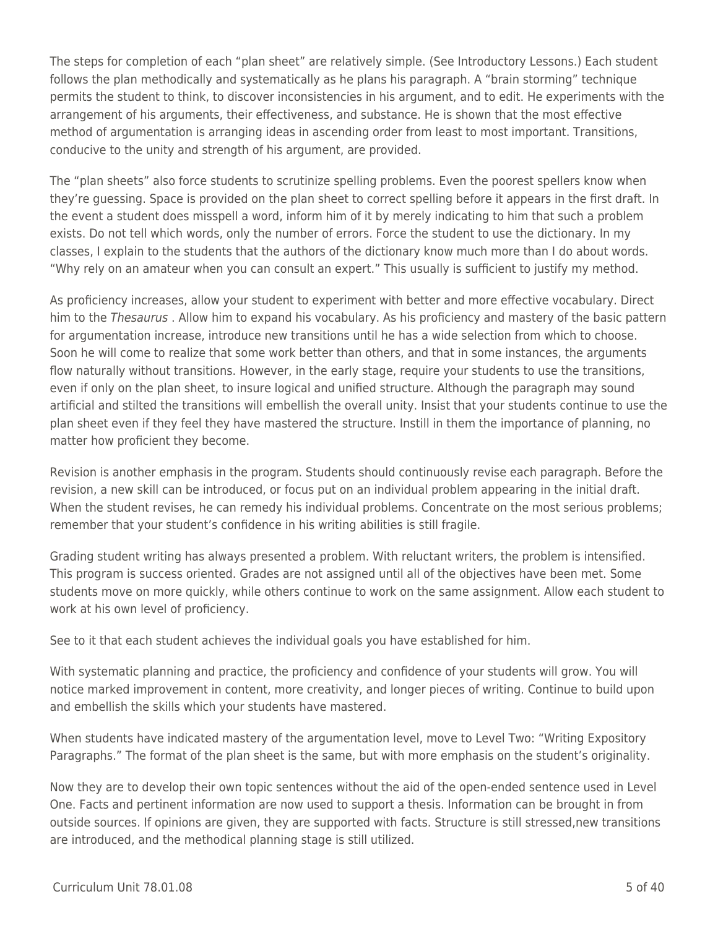The steps for completion of each "plan sheet" are relatively simple. (See Introductory Lessons.) Each student follows the plan methodically and systematically as he plans his paragraph. A "brain storming" technique permits the student to think, to discover inconsistencies in his argument, and to edit. He experiments with the arrangement of his arguments, their effectiveness, and substance. He is shown that the most effective method of argumentation is arranging ideas in ascending order from least to most important. Transitions, conducive to the unity and strength of his argument, are provided.

The "plan sheets" also force students to scrutinize spelling problems. Even the poorest spellers know when they're guessing. Space is provided on the plan sheet to correct spelling before it appears in the first draft. In the event a student does misspell a word, inform him of it by merely indicating to him that such a problem exists. Do not tell which words, only the number of errors. Force the student to use the dictionary. In my classes, I explain to the students that the authors of the dictionary know much more than I do about words. "Why rely on an amateur when you can consult an expert." This usually is sufficient to justify my method.

As proficiency increases, allow your student to experiment with better and more effective vocabulary. Direct him to the Thesaurus . Allow him to expand his vocabulary. As his proficiency and mastery of the basic pattern for argumentation increase, introduce new transitions until he has a wide selection from which to choose. Soon he will come to realize that some work better than others, and that in some instances, the arguments flow naturally without transitions. However, in the early stage, require your students to use the transitions, even if only on the plan sheet, to insure logical and unified structure. Although the paragraph may sound artificial and stilted the transitions will embellish the overall unity. Insist that your students continue to use the plan sheet even if they feel they have mastered the structure. Instill in them the importance of planning, no matter how proficient they become.

Revision is another emphasis in the program. Students should continuously revise each paragraph. Before the revision, a new skill can be introduced, or focus put on an individual problem appearing in the initial draft. When the student revises, he can remedy his individual problems. Concentrate on the most serious problems; remember that your student's confidence in his writing abilities is still fragile.

Grading student writing has always presented a problem. With reluctant writers, the problem is intensified. This program is success oriented. Grades are not assigned until all of the objectives have been met. Some students move on more quickly, while others continue to work on the same assignment. Allow each student to work at his own level of proficiency.

See to it that each student achieves the individual goals you have established for him.

With systematic planning and practice, the proficiency and confidence of your students will grow. You will notice marked improvement in content, more creativity, and longer pieces of writing. Continue to build upon and embellish the skills which your students have mastered.

When students have indicated mastery of the argumentation level, move to Level Two: "Writing Expository Paragraphs." The format of the plan sheet is the same, but with more emphasis on the student's originality.

Now they are to develop their own topic sentences without the aid of the open-ended sentence used in Level One. Facts and pertinent information are now used to support a thesis. Information can be brought in from outside sources. If opinions are given, they are supported with facts. Structure is still stressed,new transitions are introduced, and the methodical planning stage is still utilized.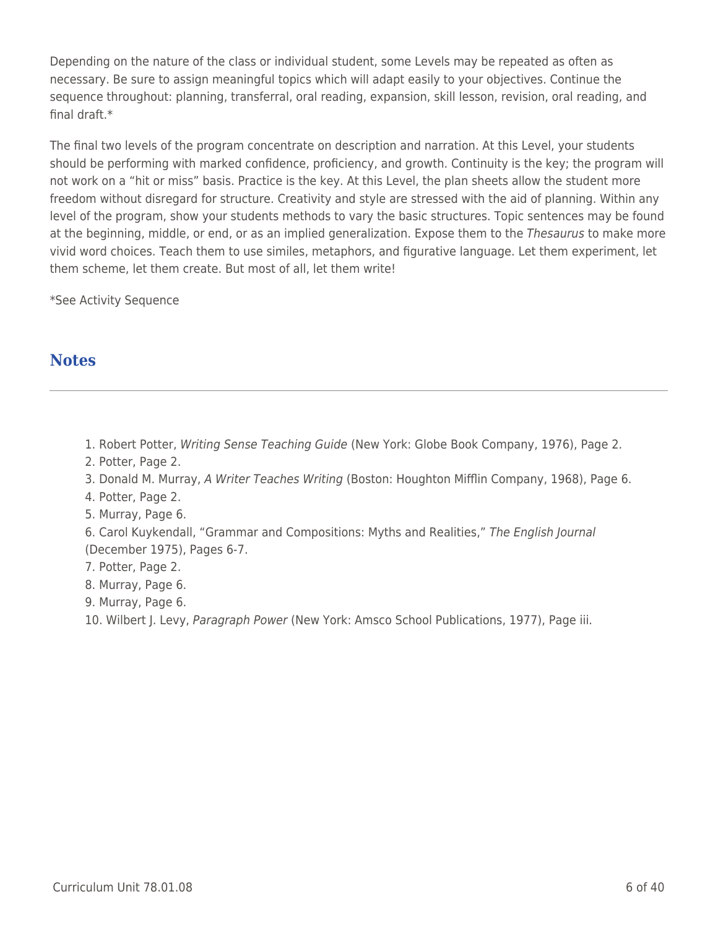Depending on the nature of the class or individual student, some Levels may be repeated as often as necessary. Be sure to assign meaningful topics which will adapt easily to your objectives. Continue the sequence throughout: planning, transferral, oral reading, expansion, skill lesson, revision, oral reading, and final draft.\*

The final two levels of the program concentrate on description and narration. At this Level, your students should be performing with marked confidence, proficiency, and growth. Continuity is the key; the program will not work on a "hit or miss" basis. Practice is the key. At this Level, the plan sheets allow the student more freedom without disregard for structure. Creativity and style are stressed with the aid of planning. Within any level of the program, show your students methods to vary the basic structures. Topic sentences may be found at the beginning, middle, or end, or as an implied generalization. Expose them to the Thesaurus to make more vivid word choices. Teach them to use similes, metaphors, and figurative language. Let them experiment, let them scheme, let them create. But most of all, let them write!

\*See Activity Sequence

## **Notes**

1. Robert Potter, Writing Sense Teaching Guide (New York: Globe Book Company, 1976), Page 2.

2. Potter, Page 2.

3. Donald M. Murray, A Writer Teaches Writing (Boston: Houghton Mifflin Company, 1968), Page 6.

- 4. Potter, Page 2.
- 5. Murray, Page 6.

6. Carol Kuykendall, "Grammar and Compositions: Myths and Realities," The English Journal (December 1975), Pages 6-7.

- 7. Potter, Page 2.
- 8. Murray, Page 6.
- 9. Murray, Page 6.
- 10. Wilbert J. Levy, Paragraph Power (New York: Amsco School Publications, 1977), Page iii.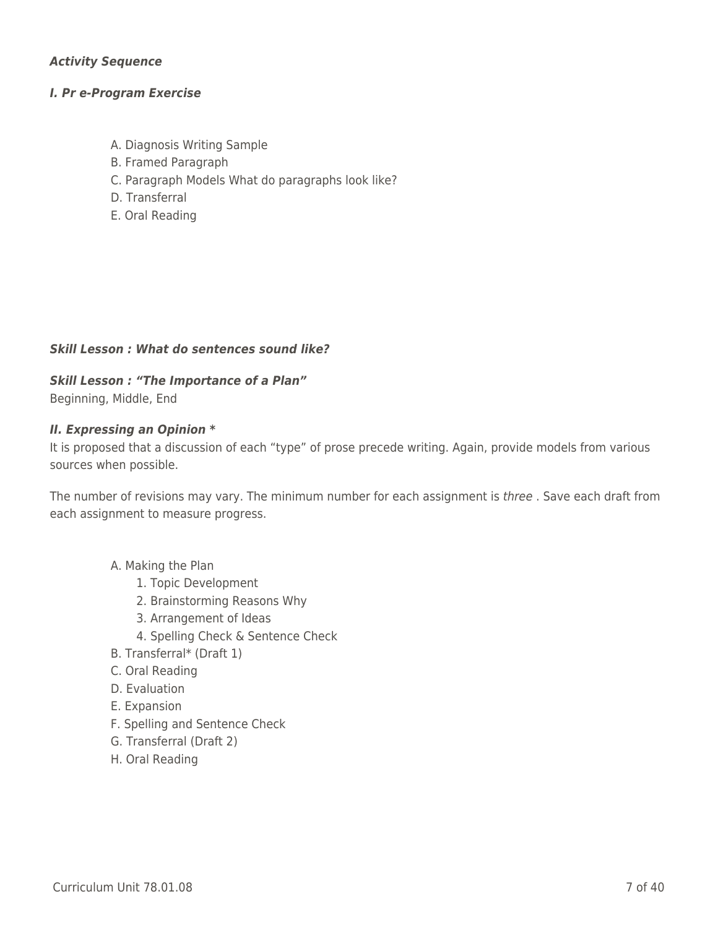## *Activity Sequence*

#### *I. Pr e-Program Exercise*

- A. Diagnosis Writing Sample
- B. Framed Paragraph
- C. Paragraph Models What do paragraphs look like?
- D. Transferral
- E. Oral Reading

#### *Skill Lesson : What do sentences sound like?*

## *Skill Lesson : "The Importance of a Plan"*

Beginning, Middle, End

#### *II. Expressing an Opinion \**

It is proposed that a discussion of each "type" of prose precede writing. Again, provide models from various sources when possible.

The number of revisions may vary. The minimum number for each assignment is three . Save each draft from each assignment to measure progress.

## A. Making the Plan

- 1. Topic Development
- 2. Brainstorming Reasons Why
- 3. Arrangement of Ideas
- 4. Spelling Check & Sentence Check
- B. Transferral\* (Draft 1)
- \_\_\_\_ C. Oral Reading
- D. Evaluation
- E. Expansion
- F. Spelling and Sentence Check
- \_\_\_\_ G. Transferral (Draft 2)
- H. Oral Reading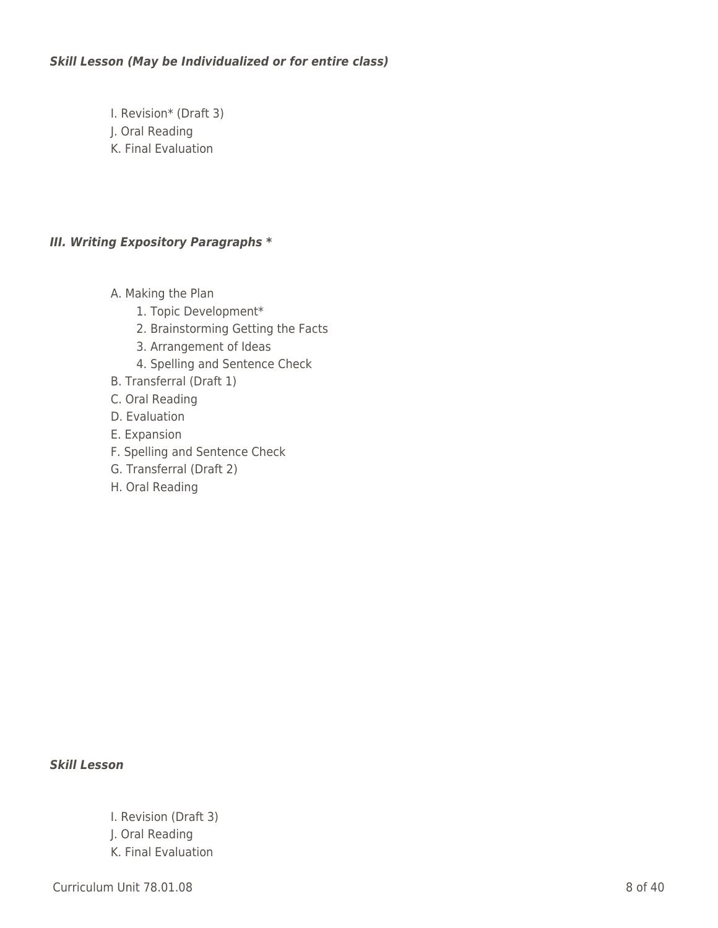## *Skill Lesson (May be Individualized or for entire class)*

- \_\_\_\_ I. Revision\* (Draft 3)
- \_\_\_\_ J. Oral Reading
- K. Final Evaluation

## *III. Writing Expository Paragraphs \**

- A. Making the Plan
	- 1. Topic Development\*
	- 2. Brainstorming Getting the Facts
	- 3. Arrangement of Ideas
	- 4. Spelling and Sentence Check
- B. Transferral (Draft 1)
- C. Oral Reading
- D. Evaluation
- E. Expansion
- F. Spelling and Sentence Check
- \_\_\_\_ G. Transferral (Draft 2)
- H. Oral Reading

### *Skill Lesson*

I. Revision (Draft 3) \_\_\_\_ J. Oral Reading K. Final Evaluation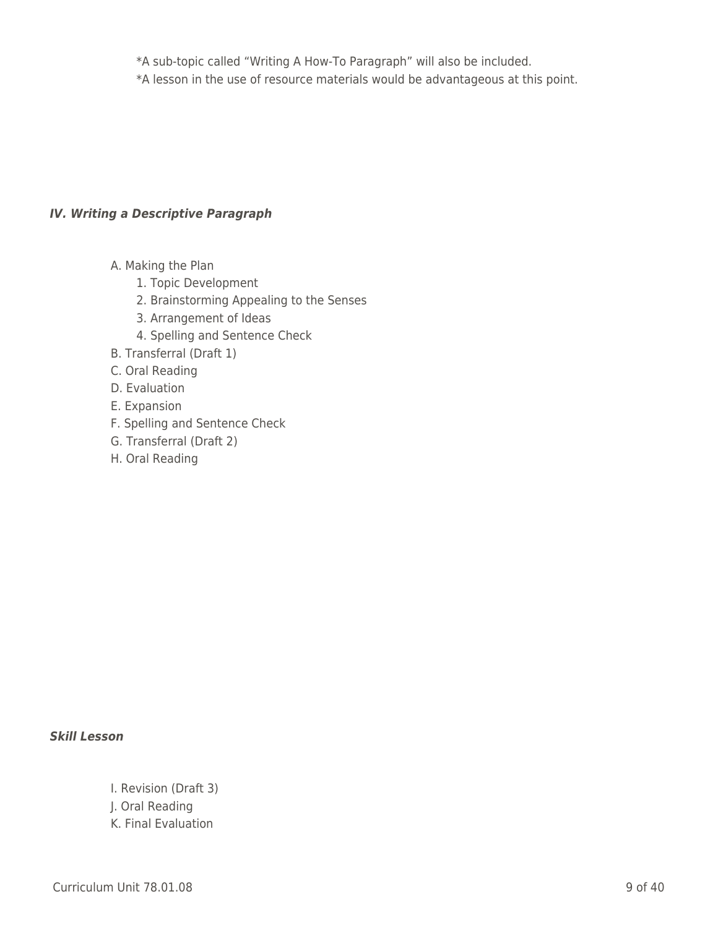\_\_\_\_ \_\_\_\_ \*A sub-topic called "Writing A How-To Paragraph" will also be included. \_\_\_\_ \_\_\_\_ \*A lesson in the use of resource materials would be advantageous at this point.

## *IV. Writing a Descriptive Paragraph*

- A. Making the Plan
	- 1. Topic Development
	- 2. Brainstorming Appealing to the Senses
	- 3. Arrangement of Ideas
	- 4. Spelling and Sentence Check
- B. Transferral (Draft 1)
- C. Oral Reading
- D. Evaluation
- E. Expansion
- F. Spelling and Sentence Check
- \_\_\_\_ G. Transferral (Draft 2)
- H. Oral Reading

## *Skill Lesson*

- I. Revision (Draft 3)
- \_\_\_\_ J. Oral Reading
- K. Final Evaluation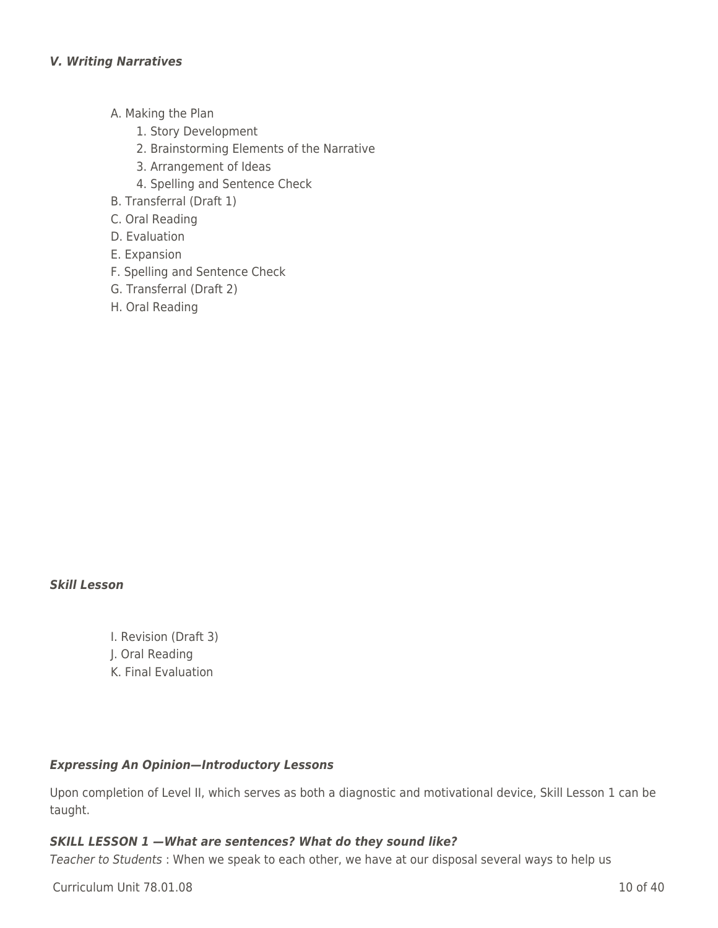- A. Making the Plan
	- 1. Story Development
	- 2. Brainstorming Elements of the Narrative
	- 3. Arrangement of Ideas
	- 4. Spelling and Sentence Check
- B. Transferral (Draft 1)
- \_\_\_\_ C. Oral Reading
- D. Evaluation
- E. Expansion
- F. Spelling and Sentence Check
- \_\_\_\_ G. Transferral (Draft 2)
- H. Oral Reading

#### *Skill Lesson*

I. Revision (Draft 3) \_\_\_\_ J. Oral Reading K. Final Evaluation

#### *Expressing An Opinion—Introductory Lessons*

Upon completion of Level II, which serves as both a diagnostic and motivational device, Skill Lesson 1 can be taught.

#### *SKILL LESSON 1 —What are sentences? What do they sound like?*

Teacher to Students : When we speak to each other, we have at our disposal several ways to help us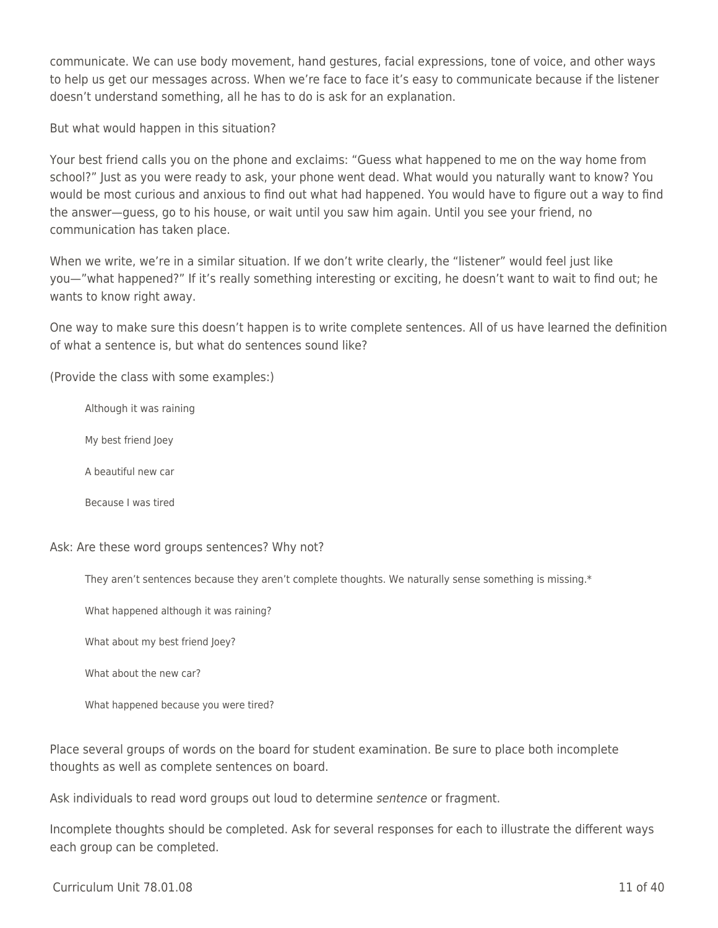communicate. We can use body movement, hand gestures, facial expressions, tone of voice, and other ways to help us get our messages across. When we're face to face it's easy to communicate because if the listener doesn't understand something, all he has to do is ask for an explanation.

But what would happen in this situation?

Your best friend calls you on the phone and exclaims: "Guess what happened to me on the way home from school?" Just as you were ready to ask, your phone went dead. What would you naturally want to know? You would be most curious and anxious to find out what had happened. You would have to figure out a way to find the answer—guess, go to his house, or wait until you saw him again. Until you see your friend, no communication has taken place.

When we write, we're in a similar situation. If we don't write clearly, the "listener" would feel just like you—"what happened?" If it's really something interesting or exciting, he doesn't want to wait to find out; he wants to know right away.

One way to make sure this doesn't happen is to write complete sentences. All of us have learned the definition of what a sentence is, but what do sentences sound like?

(Provide the class with some examples:)

Although it was raining

My best friend Joey

A beautiful new car

Because I was tired

Ask: Are these word groups sentences? Why not?

They aren't sentences because they aren't complete thoughts. We naturally sense something is missing.\*

What happened although it was raining?

What about my best friend Joey?

What about the new car?

What happened because you were tired?

Place several groups of words on the board for student examination. Be sure to place both incomplete thoughts as well as complete sentences on board.

Ask individuals to read word groups out loud to determine sentence or fragment.

Incomplete thoughts should be completed. Ask for several responses for each to illustrate the different ways each group can be completed.

Curriculum Unit 78.01.08 11 of 40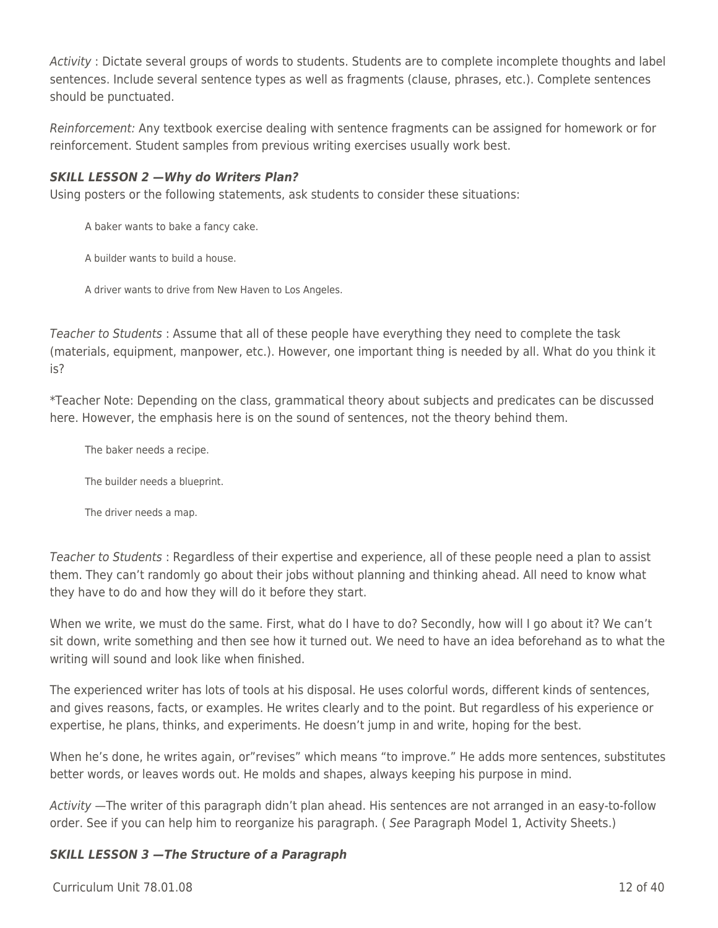Activity : Dictate several groups of words to students. Students are to complete incomplete thoughts and label sentences. Include several sentence types as well as fragments (clause, phrases, etc.). Complete sentences should be punctuated.

Reinforcement: Any textbook exercise dealing with sentence fragments can be assigned for homework or for reinforcement. Student samples from previous writing exercises usually work best.

### *SKILL LESSON 2 —Why do Writers Plan?*

Using posters or the following statements, ask students to consider these situations:

A baker wants to bake a fancy cake.

A builder wants to build a house.

A driver wants to drive from New Haven to Los Angeles.

Teacher to Students : Assume that all of these people have everything they need to complete the task (materials, equipment, manpower, etc.). However, one important thing is needed by all. What do you think it is?

\*Teacher Note: Depending on the class, grammatical theory about subjects and predicates can be discussed here. However, the emphasis here is on the sound of sentences, not the theory behind them.

The baker needs a recipe.

The builder needs a blueprint.

The driver needs a map.

Teacher to Students : Regardless of their expertise and experience, all of these people need a plan to assist them. They can't randomly go about their jobs without planning and thinking ahead. All need to know what they have to do and how they will do it before they start.

When we write, we must do the same. First, what do I have to do? Secondly, how will I go about it? We can't sit down, write something and then see how it turned out. We need to have an idea beforehand as to what the writing will sound and look like when finished.

The experienced writer has lots of tools at his disposal. He uses colorful words, different kinds of sentences, and gives reasons, facts, or examples. He writes clearly and to the point. But regardless of his experience or expertise, he plans, thinks, and experiments. He doesn't jump in and write, hoping for the best.

When he's done, he writes again, or"revises" which means "to improve." He adds more sentences, substitutes better words, or leaves words out. He molds and shapes, always keeping his purpose in mind.

Activity —The writer of this paragraph didn't plan ahead. His sentences are not arranged in an easy-to-follow order. See if you can help him to reorganize his paragraph. ( See Paragraph Model 1, Activity Sheets.)

#### *SKILL LESSON 3 —The Structure of a Paragraph*

 $C$ urriculum Unit  $78.01.08$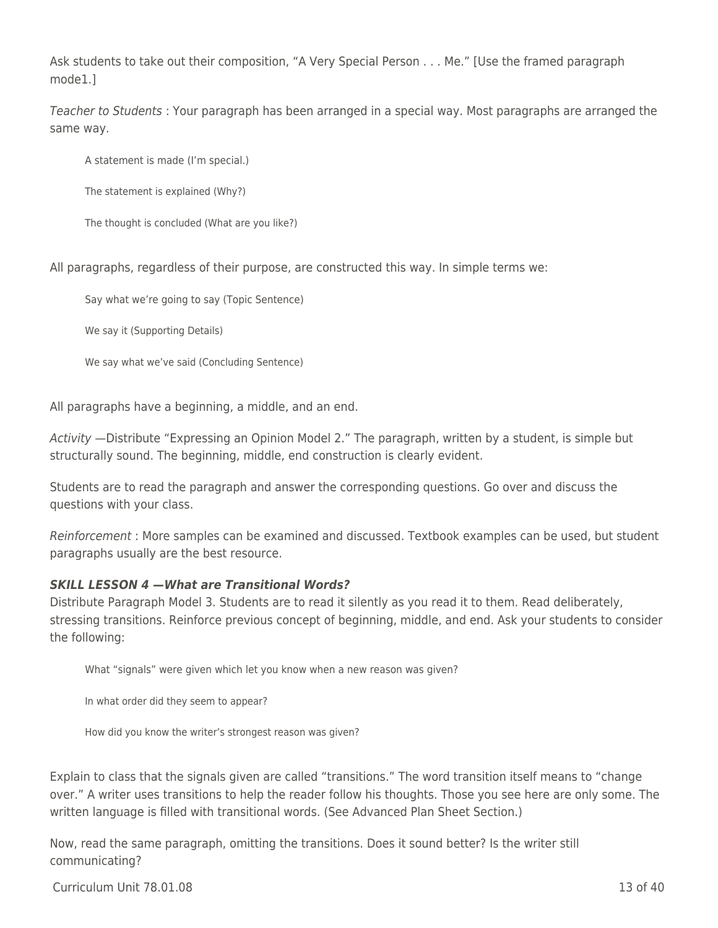Ask students to take out their composition, "A Very Special Person . . . Me." [Use the framed paragraph mode1.]

Teacher to Students : Your paragraph has been arranged in a special way. Most paragraphs are arranged the same way.

A statement is made (I'm special.)

The statement is explained (Why?)

The thought is concluded (What are you like?)

All paragraphs, regardless of their purpose, are constructed this way. In simple terms we:

Say what we're going to say (Topic Sentence)

We say it (Supporting Details)

We say what we've said (Concluding Sentence)

All paragraphs have a beginning, a middle, and an end.

Activity —Distribute "Expressing an Opinion Model 2." The paragraph, written by a student, is simple but structurally sound. The beginning, middle, end construction is clearly evident.

Students are to read the paragraph and answer the corresponding questions. Go over and discuss the questions with your class.

Reinforcement : More samples can be examined and discussed. Textbook examples can be used, but student paragraphs usually are the best resource.

#### *SKILL LESSON 4 —What are Transitional Words?*

Distribute Paragraph Model 3. Students are to read it silently as you read it to them. Read deliberately, stressing transitions. Reinforce previous concept of beginning, middle, and end. Ask your students to consider the following:

What "signals" were given which let you know when a new reason was given?

In what order did they seem to appear?

How did you know the writer's strongest reason was given?

Explain to class that the signals given are called "transitions." The word transition itself means to "change over." A writer uses transitions to help the reader follow his thoughts. Those you see here are only some. The written language is filled with transitional words. (See Advanced Plan Sheet Section.)

Now, read the same paragraph, omitting the transitions. Does it sound better? Is the writer still communicating?

 $C$ urriculum Unit  $78.01.08$  13 of 40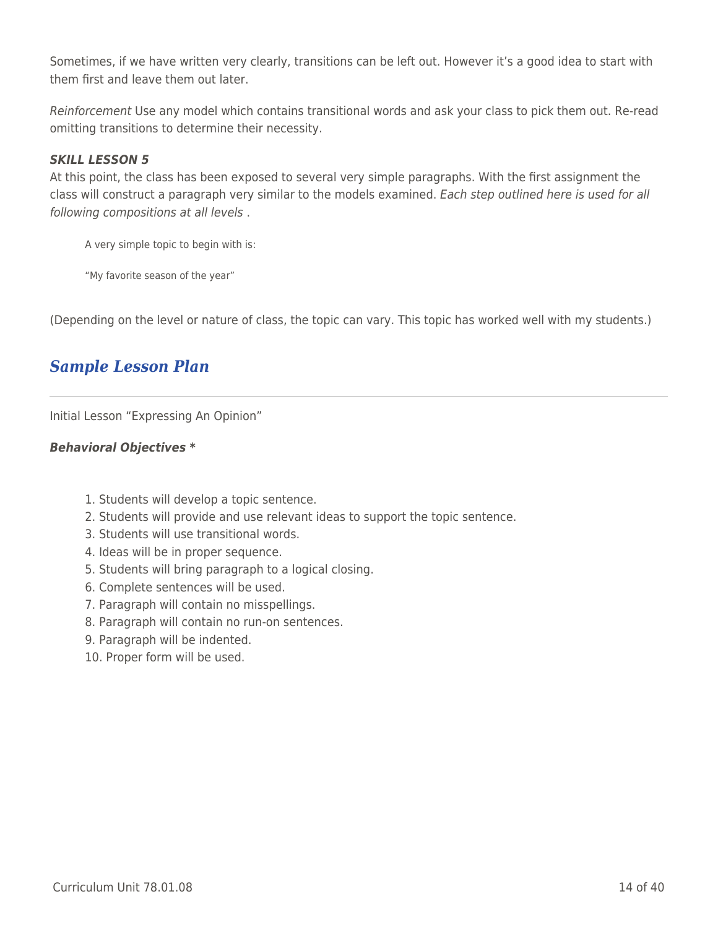Sometimes, if we have written very clearly, transitions can be left out. However it's a good idea to start with them first and leave them out later.

Reinforcement Use any model which contains transitional words and ask your class to pick them out. Re-read omitting transitions to determine their necessity.

### *SKILL LESSON 5*

At this point, the class has been exposed to several very simple paragraphs. With the first assignment the class will construct a paragraph very similar to the models examined. Each step outlined here is used for all following compositions at all levels .

A very simple topic to begin with is:

"My favorite season of the year"

(Depending on the level or nature of class, the topic can vary. This topic has worked well with my students.)

## *Sample Lesson Plan*

Initial Lesson "Expressing An Opinion"

#### *Behavioral Objectives \**

- 1. Students will develop a topic sentence.
- 2. Students will provide and use relevant ideas to support the topic sentence.
- 3. Students will use transitional words.
- 4. Ideas will be in proper sequence.
- 5. Students will bring paragraph to a logical closing.
- 6. Complete sentences will be used.
- 7. Paragraph will contain no misspellings.
- 8. Paragraph will contain no run-on sentences.
- 9. Paragraph will be indented.
- 10. Proper form will be used.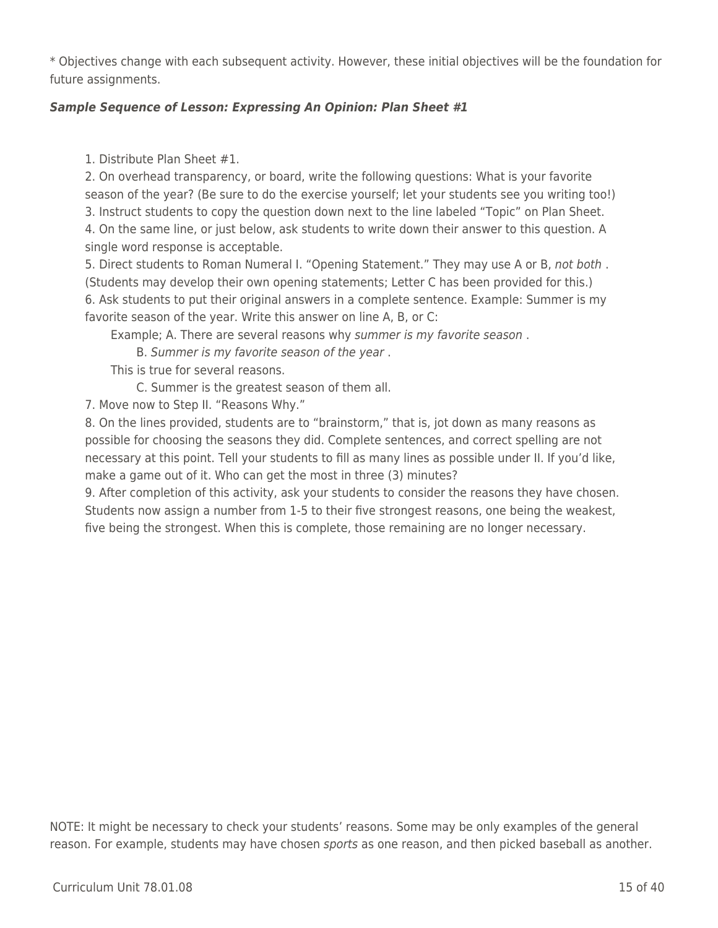\* Objectives change with each subsequent activity. However, these initial objectives will be the foundation for future assignments.

## *Sample Sequence of Lesson: Expressing An Opinion: Plan Sheet #1*

1. Distribute Plan Sheet #1.

2. On overhead transparency, or board, write the following questions: What is your favorite season of the year? (Be sure to do the exercise yourself; let your students see you writing too!) 3. Instruct students to copy the question down next to the line labeled "Topic" on Plan Sheet. 4. On the same line, or just below, ask students to write down their answer to this question. A single word response is acceptable.

5. Direct students to Roman Numeral I. "Opening Statement." They may use A or B, not both . (Students may develop their own opening statements; Letter C has been provided for this.) 6. Ask students to put their original answers in a complete sentence. Example: Summer is my favorite season of the year. Write this answer on line A, B, or C:

Example; A. There are several reasons why summer is my favorite season.

B. Summer is my favorite season of the year.

This is true for several reasons.

C. Summer is the greatest season of them all.

7. Move now to Step II. "Reasons Why."

8. On the lines provided, students are to "brainstorm," that is, jot down as many reasons as possible for choosing the seasons they did. Complete sentences, and correct spelling are not necessary at this point. Tell your students to fill as many lines as possible under II. If you'd like, make a game out of it. Who can get the most in three (3) minutes?

9. After completion of this activity, ask your students to consider the reasons they have chosen. Students now assign a number from 1-5 to their five strongest reasons, one being the weakest, five being the strongest. When this is complete, those remaining are no longer necessary.

NOTE: It might be necessary to check your students' reasons. Some may be only examples of the general reason. For example, students may have chosen sports as one reason, and then picked baseball as another.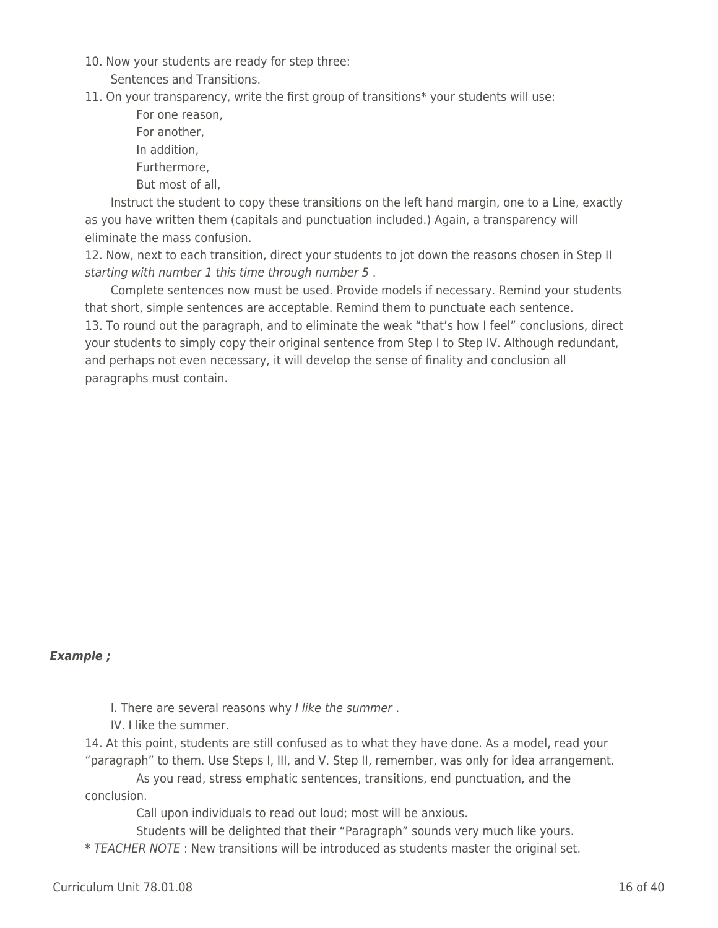- 10. Now your students are ready for step three:
	- Sentences and Transitions.

11. On your transparency, write the first group of transitions\* your students will use:

For one reason. For another, In addition. Furthermore. But most of all.

Instruct the student to copy these transitions on the left hand margin, one to a Line, exactly as you have written them (capitals and punctuation included.) Again, a transparency will eliminate the mass confusion.

12. Now, next to each transition, direct your students to jot down the reasons chosen in Step II starting with number 1 this time through number 5 .

Complete sentences now must be used. Provide models if necessary. Remind your students that short, simple sentences are acceptable. Remind them to punctuate each sentence. 13. To round out the paragraph, and to eliminate the weak "that's how I feel" conclusions, direct your students to simply copy their original sentence from Step I to Step IV. Although redundant, and perhaps not even necessary, it will develop the sense of finality and conclusion all paragraphs must contain.

#### *Example ;*

I. There are several reasons why I like the summer.

IV. I like the summer.

14. At this point, students are still confused as to what they have done. As a model, read your "paragraph" to them. Use Steps I, III, and V. Step II, remember, was only for idea arrangement.

As you read, stress emphatic sentences, transitions, end punctuation, and the conclusion.

Call upon individuals to read out loud; most will be anxious.

Students will be delighted that their "Paragraph" sounds very much like yours. \* TEACHER NOTE : New transitions will be introduced as students master the original set.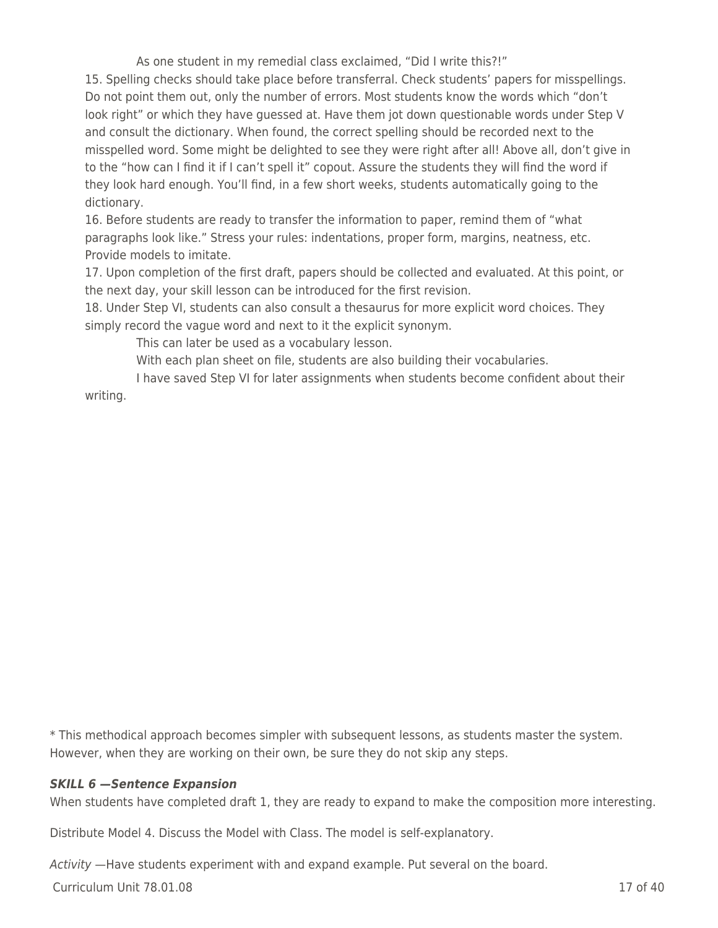As one student in my remedial class exclaimed, "Did I write this?!"

15. Spelling checks should take place before transferral. Check students' papers for misspellings. Do not point them out, only the number of errors. Most students know the words which "don't look right" or which they have guessed at. Have them jot down questionable words under Step V and consult the dictionary. When found, the correct spelling should be recorded next to the misspelled word. Some might be delighted to see they were right after all! Above all, don't give in to the "how can I find it if I can't spell it" copout. Assure the students they will find the word if they look hard enough. You'll find, in a few short weeks, students automatically going to the dictionary.

16. Before students are ready to transfer the information to paper, remind them of "what paragraphs look like." Stress your rules: indentations, proper form, margins, neatness, etc. Provide models to imitate.

17. Upon completion of the first draft, papers should be collected and evaluated. At this point, or the next day, your skill lesson can be introduced for the first revision.

18. Under Step VI, students can also consult a thesaurus for more explicit word choices. They simply record the vague word and next to it the explicit synonym.

This can later be used as a vocabulary lesson.

With each plan sheet on file, students are also building their vocabularies.

I have saved Step VI for later assignments when students become confident about their writing.

\* This methodical approach becomes simpler with subsequent lessons, as students master the system. However, when they are working on their own, be sure they do not skip any steps.

## *SKILL 6 —Sentence Expansion*

When students have completed draft 1, they are ready to expand to make the composition more interesting.

Distribute Model 4. Discuss the Model with Class. The model is self-explanatory.

Activity —Have students experiment with and expand example. Put several on the board.

Curriculum Unit 78.01.08 17 of 40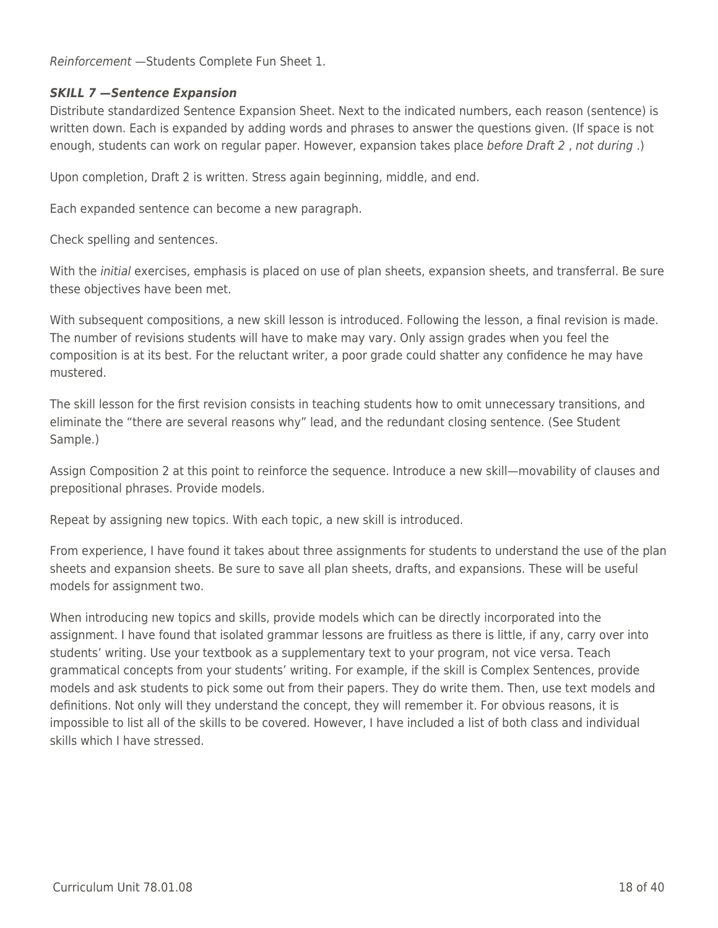Reinforcement —Students Complete Fun Sheet 1.

### *SKILL 7 —Sentence Expansion*

Distribute standardized Sentence Expansion Sheet. Next to the indicated numbers, each reason (sentence) is written down. Each is expanded by adding words and phrases to answer the questions given. (If space is not enough, students can work on regular paper. However, expansion takes place before Draft 2 , not during .)

Upon completion, Draft 2 is written. Stress again beginning, middle, and end.

Each expanded sentence can become a new paragraph.

Check spelling and sentences.

With the *initial* exercises, emphasis is placed on use of plan sheets, expansion sheets, and transferral. Be sure these objectives have been met.

With subsequent compositions, a new skill lesson is introduced. Following the lesson, a final revision is made. The number of revisions students will have to make may vary. Only assign grades when you feel the composition is at its best. For the reluctant writer, a poor grade could shatter any confidence he may have mustered.

The skill lesson for the first revision consists in teaching students how to omit unnecessary transitions, and eliminate the "there are several reasons why" lead, and the redundant closing sentence. (See Student Sample.)

Assign Composition 2 at this point to reinforce the sequence. Introduce a new skill—movability of clauses and prepositional phrases. Provide models.

Repeat by assigning new topics. With each topic, a new skill is introduced.

From experience, I have found it takes about three assignments for students to understand the use of the plan sheets and expansion sheets. Be sure to save all plan sheets, drafts, and expansions. These will be useful models for assignment two.

When introducing new topics and skills, provide models which can be directly incorporated into the assignment. I have found that isolated grammar lessons are fruitless as there is little, if any, carry over into students' writing. Use your textbook as a supplementary text to your program, not vice versa. Teach grammatical concepts from your students' writing. For example, if the skill is Complex Sentences, provide models and ask students to pick some out from their papers. They do write them. Then, use text models and definitions. Not only will they understand the concept, they will remember it. For obvious reasons, it is impossible to list all of the skills to be covered. However, I have included a list of both class and individual skills which I have stressed.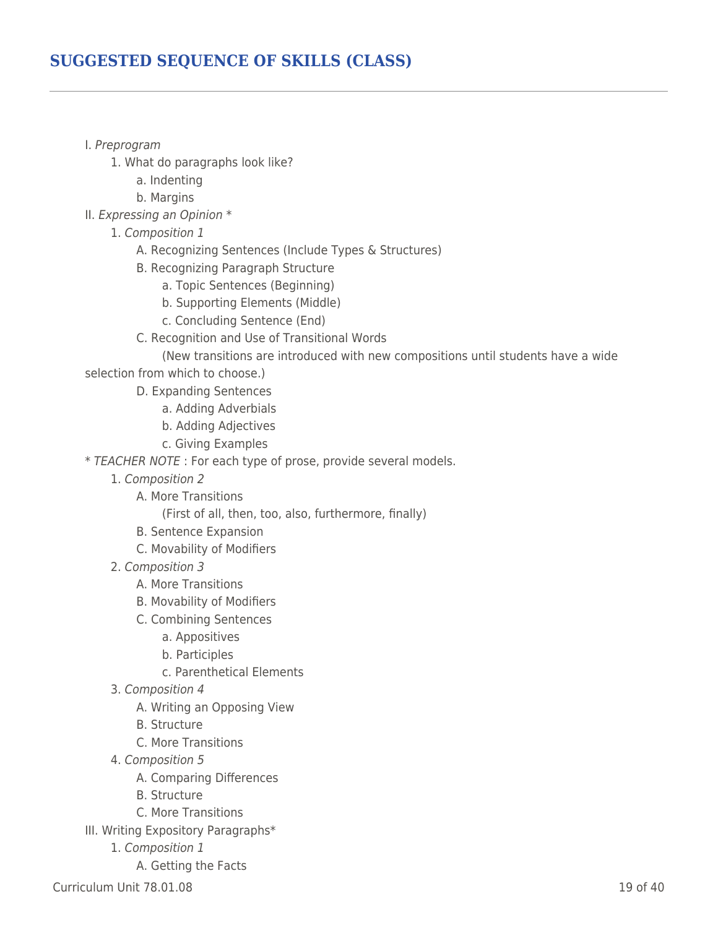## **SUGGESTED SEQUENCE OF SKILLS (CLASS)**

- I. Preprogram
	- 1. What do paragraphs look like?
		- a. Indenting
		- b. Margins
- II. Expressing an Opinion \*
	- 1. Composition 1
		- A. Recognizing Sentences (Include Types & Structures)
		- B. Recognizing Paragraph Structure
			- a. Topic Sentences (Beginning)
			- b. Supporting Elements (Middle)
			- c. Concluding Sentence (End)
		- \_\_\_\_ \_\_\_\_ C. Recognition and Use of Transitional Words

(New transitions are introduced with new compositions until students have a wide

selection from which to choose.)

- D. Expanding Sentences
	- a. Adding Adverbials
	- b. Adding Adjectives
	- c. Giving Examples

\* TEACHER NOTE : For each type of prose, provide several models.

- \_\_\_\_ 1. Composition 2
	- A. More Transitions

(First of all, then, too, also, furthermore, finally)

- B. Sentence Expansion
- C. Movability of Modifiers
- \_\_\_\_ 2. Composition 3
	- A. More Transitions
	- B. Movability of Modifiers
	- C. Combining Sentences
		- a. Appositives
		- b. Participles
		- c. Parenthetical Elements
- \_\_\_\_ 3. Composition 4
	- A. Writing an Opposing View
	- B. Structure
	- C. More Transitions
- \_\_\_\_ 4. Composition 5
	- A. Comparing Differences
	- B. Structure
	- C. More Transitions
- III. Writing Expository Paragraphs\*
	- 1. Composition 1
		- A. Getting the Facts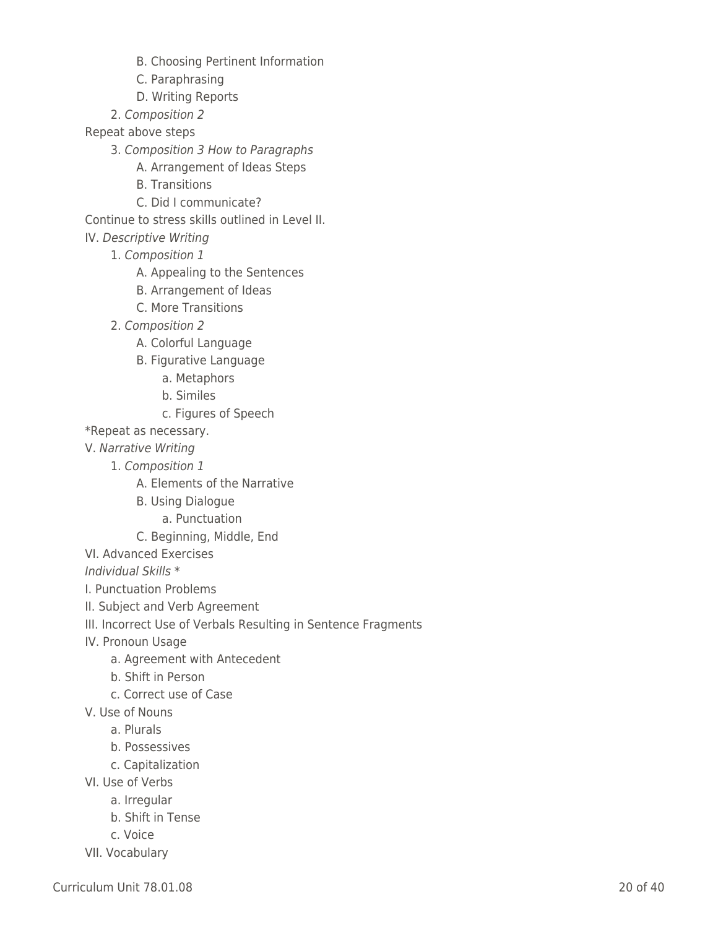- B. Choosing Pertinent Information
- C. Paraphrasing
- D. Writing Reports
- \_\_\_\_ 2. Composition 2
- Repeat above steps
	- 3. Composition 3 How to Paragraphs
		- A. Arrangement of Ideas Steps
		- B. Transitions
		- C. Did I communicate?

Continue to stress skills outlined in Level II.

- IV. Descriptive Writing
	- 1. Composition 1
		- A. Appealing to the Sentences
		- B. Arrangement of Ideas
		- C. More Transitions
	- \_\_\_\_ 2. Composition 2
		- A. Colorful Language
		- B. Figurative Language
			- a. Metaphors
			- \_\_\_\_ \_\_\_\_ \_\_\_\_ b. Similes
			- c. Figures of Speech
- \*Repeat as necessary.
- V. Narrative Writing
	- 1. Composition 1
		- A. Elements of the Narrative
		- B. Using Dialogue
			- a. Punctuation
		- C. Beginning, Middle, End
- VI. Advanced Exercises

Individual Skills \*

- I. Punctuation Problems
- II. Subject and Verb Agreement
- III. Incorrect Use of Verbals Resulting in Sentence Fragments
- IV. Pronoun Usage
	- a. Agreement with Antecedent
	- b. Shift in Person
	- \_\_\_\_ c. Correct use of Case
- V. Use of Nouns
	- \_\_\_\_ a. Plurals
	- b. Possessives
	- \_\_\_\_ c. Capitalization
- VI. Use of Verbs
	- a. Irregular
	- b. Shift in Tense
	- \_\_\_\_ c. Voice
- VII. Vocabulary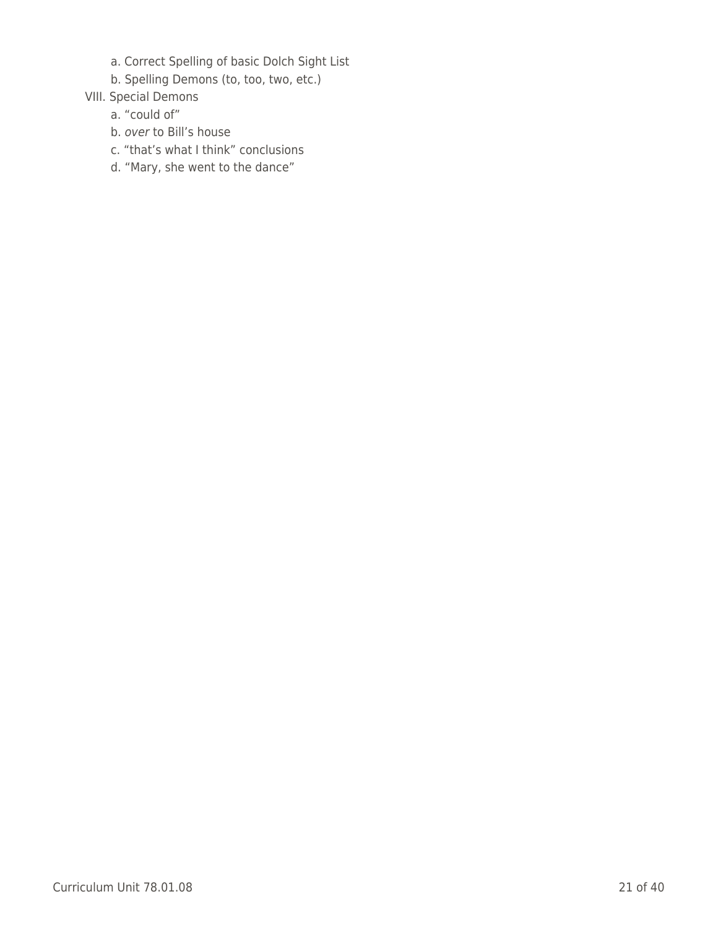- a. Correct Spelling of basic Dolch Sight List
- b. Spelling Demons (to, too, two, etc.)
- VIII. Special Demons
	- a. "could of"
	- b. over to Bill's house
	- c. "that's what I think" conclusions
	- d. "Mary, she went to the dance"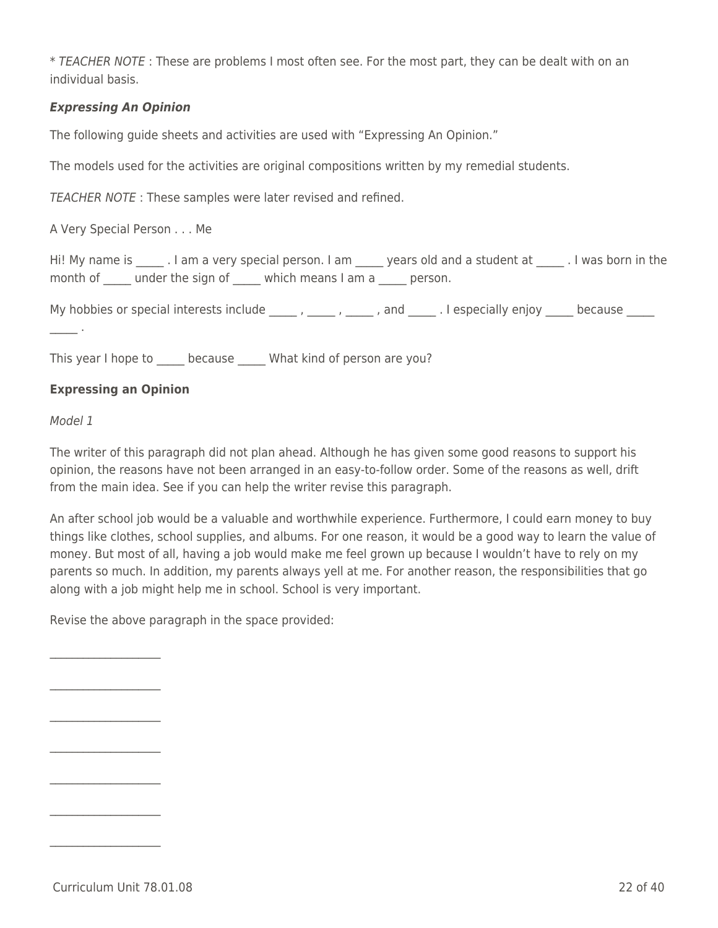\* TEACHER NOTE : These are problems I most often see. For the most part, they can be dealt with on an individual basis.

## *Expressing An Opinion*

The following guide sheets and activities are used with "Expressing An Opinion."

The models used for the activities are original compositions written by my remedial students.

TEACHER NOTE : These samples were later revised and refined.

A Very Special Person . . . Me

Hi! My name is \_\_\_\_\_ . I am a very special person. I am \_\_\_\_\_ years old and a student at \_\_\_\_\_ . I was born in the month of under the sign of which means I am a zo person.

My hobbies or special interests include  $\frac{1}{1-\frac{1}{2}}$ ,  $\frac{1}{1-\frac{1}{2}}$ , and  $\frac{1}{1-\frac{1}{2}}$ . I especially enjoy  $\frac{1}{1-\frac{1}{2}}$  because  $\frac{1}{1-\frac{1}{2}}$ 

 $\sim$ 

This year I hope to \_\_\_\_\_ because \_\_\_\_\_ What kind of person are you?

## **Expressing an Opinion**

#### Model 1

The writer of this paragraph did not plan ahead. Although he has given some good reasons to support his opinion, the reasons have not been arranged in an easy-to-follow order. Some of the reasons as well, drift from the main idea. See if you can help the writer revise this paragraph.

An after school job would be a valuable and worthwhile experience. Furthermore, I could earn money to buy things like clothes, school supplies, and albums. For one reason, it would be a good way to learn the value of money. But most of all, having a job would make me feel grown up because I wouldn't have to rely on my parents so much. In addition, my parents always yell at me. For another reason, the responsibilities that go along with a job might help me in school. School is very important.

Revise the above paragraph in the space provided:

 $\overline{\mathcal{L}}$  , and the set of the set of the set of the set of the set of the set of the set of the set of the set of the set of the set of the set of the set of the set of the set of the set of the set of the set of the s

 $\mathcal{L}=\mathcal{L}^{\mathcal{L}}$  , where  $\mathcal{L}^{\mathcal{L}}$ 

 $\mathcal{L}=\mathcal{L}^{\mathcal{L}}$  , where  $\mathcal{L}^{\mathcal{L}}$ 

 $\mathcal{L}=\mathcal{L}^{\mathcal{L}}$  , where  $\mathcal{L}^{\mathcal{L}}$ 

 $\mathcal{L}=\mathcal{L}^{\mathcal{L}}$  , where  $\mathcal{L}^{\mathcal{L}}$ 

 $\mathcal{L}=\mathcal{L}^{\mathcal{L}}$  , where  $\mathcal{L}^{\mathcal{L}}$ 

 $\mathcal{L}=\mathcal{L}^{\mathcal{L}}$  , where  $\mathcal{L}^{\mathcal{L}}$ 

Curriculum Unit 78.01.08 22 of 40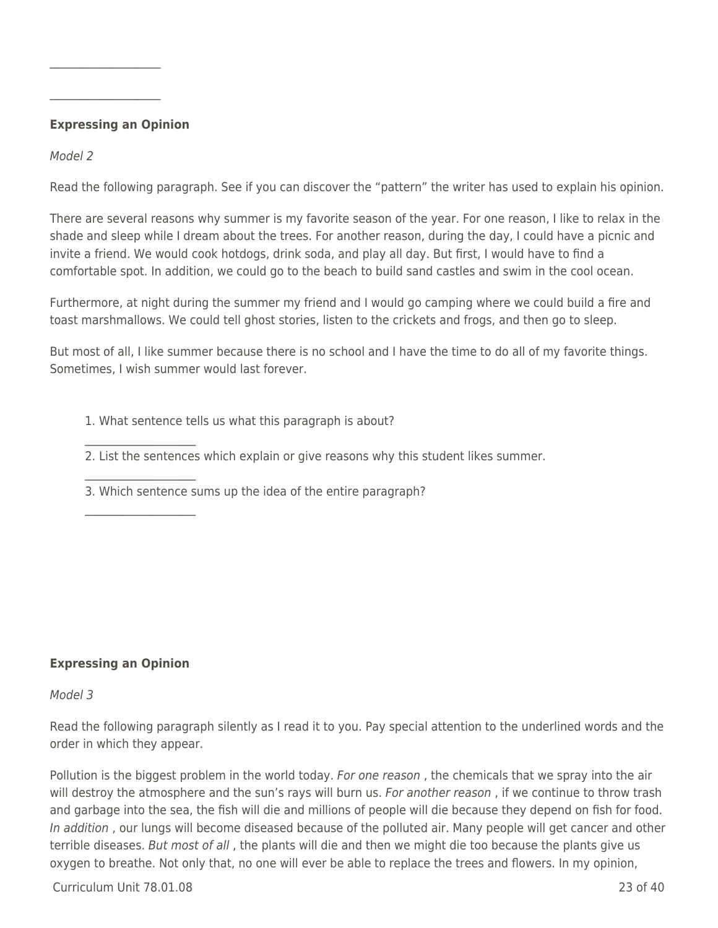### **Expressing an Opinion**

 $\mathcal{L}=\mathcal{L}^{\mathcal{L}}$  , where  $\mathcal{L}^{\mathcal{L}}$ 

 $\mathcal{L}=\mathcal{L}^{\mathcal{L}}$  , where  $\mathcal{L}^{\mathcal{L}}$ 

Model 2

Read the following paragraph. See if you can discover the "pattern" the writer has used to explain his opinion.

There are several reasons why summer is my favorite season of the year. For one reason, I like to relax in the shade and sleep while I dream about the trees. For another reason, during the day, I could have a picnic and invite a friend. We would cook hotdogs, drink soda, and play all day. But first, I would have to find a comfortable spot. In addition, we could go to the beach to build sand castles and swim in the cool ocean.

Furthermore, at night during the summer my friend and I would go camping where we could build a fire and toast marshmallows. We could tell ghost stories, listen to the crickets and frogs, and then go to sleep.

But most of all, I like summer because there is no school and I have the time to do all of my favorite things. Sometimes, I wish summer would last forever.

1. What sentence tells us what this paragraph is about?

2. List the sentences which explain or give reasons why this student likes summer.

3. Which sentence sums up the idea of the entire paragraph?

#### **Expressing an Opinion**

 $\mathcal{L}=\mathcal{L}^{\mathcal{L}}$  , where  $\mathcal{L}^{\mathcal{L}}$ 

 $\mathcal{L}=\mathcal{L}^{\mathcal{L}}$  , where  $\mathcal{L}^{\mathcal{L}}$ 

 $\mathcal{L}=\mathcal{L}^{\mathcal{L}}$  , where  $\mathcal{L}^{\mathcal{L}}$ 

#### Model 3

Read the following paragraph silently as I read it to you. Pay special attention to the underlined words and the order in which they appear.

Pollution is the biggest problem in the world today. For one reason, the chemicals that we spray into the air will destroy the atmosphere and the sun's rays will burn us. For another reason, if we continue to throw trash and garbage into the sea, the fish will die and millions of people will die because they depend on fish for food. In addition , our lungs will become diseased because of the polluted air. Many people will get cancer and other terrible diseases. But most of all, the plants will die and then we might die too because the plants give us oxygen to breathe. Not only that, no one will ever be able to replace the trees and flowers. In my opinion,

Curriculum Unit 78.01.08 23 of 40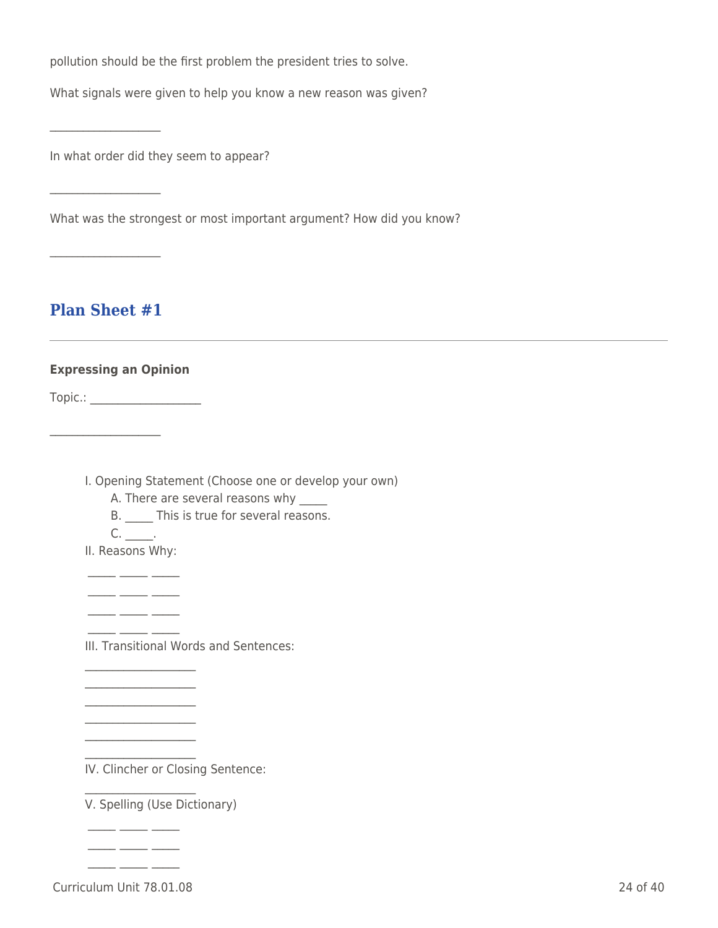pollution should be the first problem the president tries to solve.

What signals were given to help you know a new reason was given?

In what order did they seem to appear?

What was the strongest or most important argument? How did you know?

## **Plan Sheet #1**

 $\overline{\mathcal{L}}$  , and the set of the set of the set of the set of the set of the set of the set of the set of the set of the set of the set of the set of the set of the set of the set of the set of the set of the set of the s

 $\mathcal{L}=\mathcal{L}^{\mathcal{L}}$  , where  $\mathcal{L}^{\mathcal{L}}$ 

 $\mathcal{L}=\mathcal{L}^{\mathcal{L}}$  , where  $\mathcal{L}^{\mathcal{L}}$ 

## **Expressing an Opinion**

Topic.: \_\_\_\_\_\_\_\_\_\_\_\_\_\_\_\_\_\_\_\_

 $\mathcal{L}=\mathcal{L}^{\mathcal{L}}$  , where  $\mathcal{L}^{\mathcal{L}}$ 

I. Opening Statement (Choose one or develop your own)

A. There are several reasons why

B. \_\_\_\_\_ This is true for several reasons.

 $C.$  \_\_\_\_\_.

II. Reasons Why:

 $-$ 

 $-$ \_\_\_\_\_ \_\_\_\_\_ \_\_\_\_\_

III. Transitional Words and Sentences:

 $\mathcal{L}=\mathcal{L}^{\mathcal{L}}$  , where  $\mathcal{L}^{\mathcal{L}}$  $\mathcal{L}=\mathcal{L}^{\mathcal{L}}$  , where  $\mathcal{L}^{\mathcal{L}}$  $\mathcal{L}=\mathcal{L}^{\mathcal{L}}$  , where  $\mathcal{L}^{\mathcal{L}}$ 

 $\mathcal{L}=\mathcal{L}^{\mathcal{L}}$  , where  $\mathcal{L}^{\mathcal{L}}$ 

 $\mathcal{L}=\mathcal{L}^{\mathcal{L}}$  , where  $\mathcal{L}^{\mathcal{L}}$ 

 $\mathcal{L}=\mathcal{L}^{\mathcal{L}}$  , where  $\mathcal{L}^{\mathcal{L}}$ 

 $\overline{\phantom{a}}$   $\overline{\phantom{a}}$   $\overline{\phantom{a}}$   $\overline{\phantom{a}}$  $\overline{\phantom{a}}$  , where  $\overline{\phantom{a}}$ 

 $\mathcal{L}=\mathcal{L}^{\mathcal{L}}$  , where  $\mathcal{L}^{\mathcal{L}}$ 

IV. Clincher or Closing Sentence:

V. Spelling (Use Dictionary)

Curriculum Unit 78.01.08 24 of 40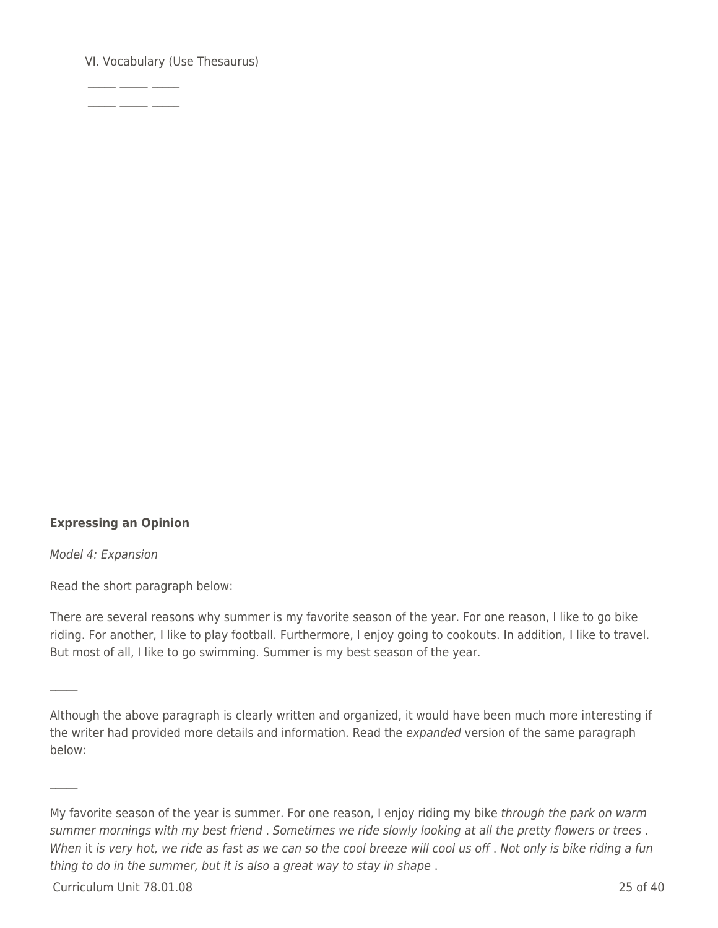VI. Vocabulary (Use Thesaurus)

 $\frac{1}{2}$  ,  $\frac{1}{2}$  ,  $\frac{1}{2}$  ,  $\frac{1}{2}$  ,  $\frac{1}{2}$  $-$ 

#### **Expressing an Opinion**

Model 4: Expansion

 $\mathcal{L}$ 

 $\mathcal{L}$ 

Read the short paragraph below:

There are several reasons why summer is my favorite season of the year. For one reason, I like to go bike riding. For another, I like to play football. Furthermore, I enjoy going to cookouts. In addition, I like to travel. But most of all, I like to go swimming. Summer is my best season of the year.

Curriculum Unit 78.01.08 25 of 40

Although the above paragraph is clearly written and organized, it would have been much more interesting if the writer had provided more details and information. Read the expanded version of the same paragraph below:

My favorite season of the year is summer. For one reason, I enjoy riding my bike through the park on warm summer mornings with my best friend . Sometimes we ride slowly looking at all the pretty flowers or trees . When it is very hot, we ride as fast as we can so the cool breeze will cool us off. Not only is bike riding a fun thing to do in the summer, but it is also a great way to stay in shape .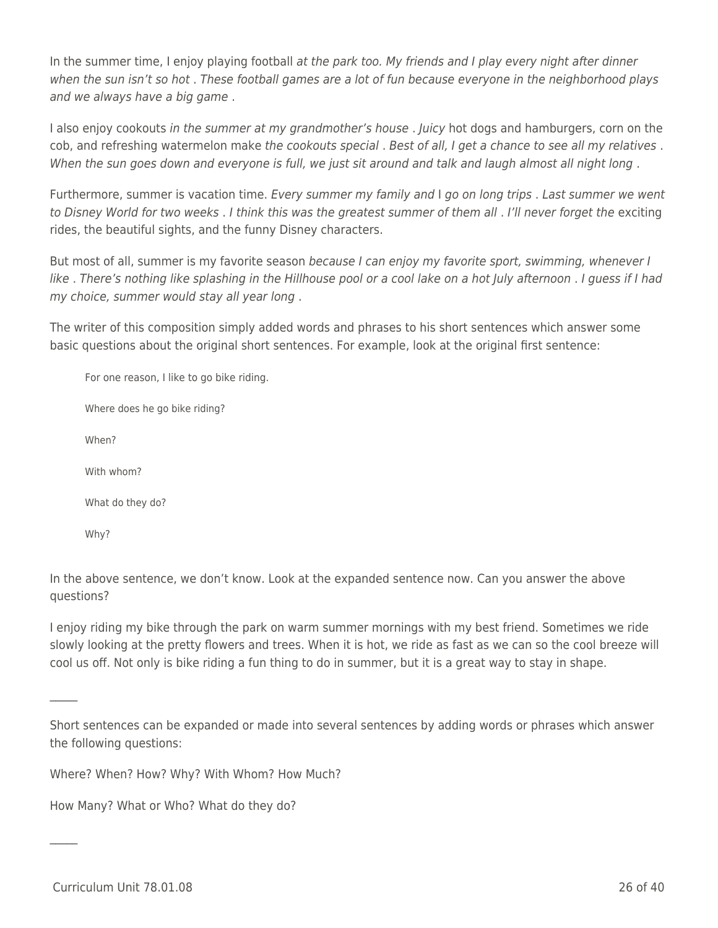In the summer time, I enjoy playing football at the park too. My friends and I play every night after dinner when the sun isn't so hot . These football games are a lot of fun because everyone in the neighborhood plays and we always have a big game .

I also enjoy cookouts in the summer at my grandmother's house . Juicy hot dogs and hamburgers, corn on the cob, and refreshing watermelon make the cookouts special . Best of all, I get a chance to see all my relatives. When the sun goes down and everyone is full, we just sit around and talk and laugh almost all night long .

Furthermore, summer is vacation time. Every summer my family and I go on long trips . Last summer we went to Disney World for two weeks . I think this was the greatest summer of them all . I'll never forget the exciting rides, the beautiful sights, and the funny Disney characters.

But most of all, summer is my favorite season because I can enjoy my favorite sport, swimming, whenever I like . There's nothing like splashing in the Hillhouse pool or a cool lake on a hot July afternoon . I guess if I had my choice, summer would stay all year long .

The writer of this composition simply added words and phrases to his short sentences which answer some basic questions about the original short sentences. For example, look at the original first sentence:

For one reason, I like to go bike riding. Where does he go bike riding? When? With whom? What do they do? Why?

In the above sentence, we don't know. Look at the expanded sentence now. Can you answer the above questions?

I enjoy riding my bike through the park on warm summer mornings with my best friend. Sometimes we ride slowly looking at the pretty flowers and trees. When it is hot, we ride as fast as we can so the cool breeze will cool us off. Not only is bike riding a fun thing to do in summer, but it is a great way to stay in shape.

Short sentences can be expanded or made into several sentences by adding words or phrases which answer the following questions:

Where? When? How? Why? With Whom? How Much?

How Many? What or Who? What do they do?

 $\mathcal{L}$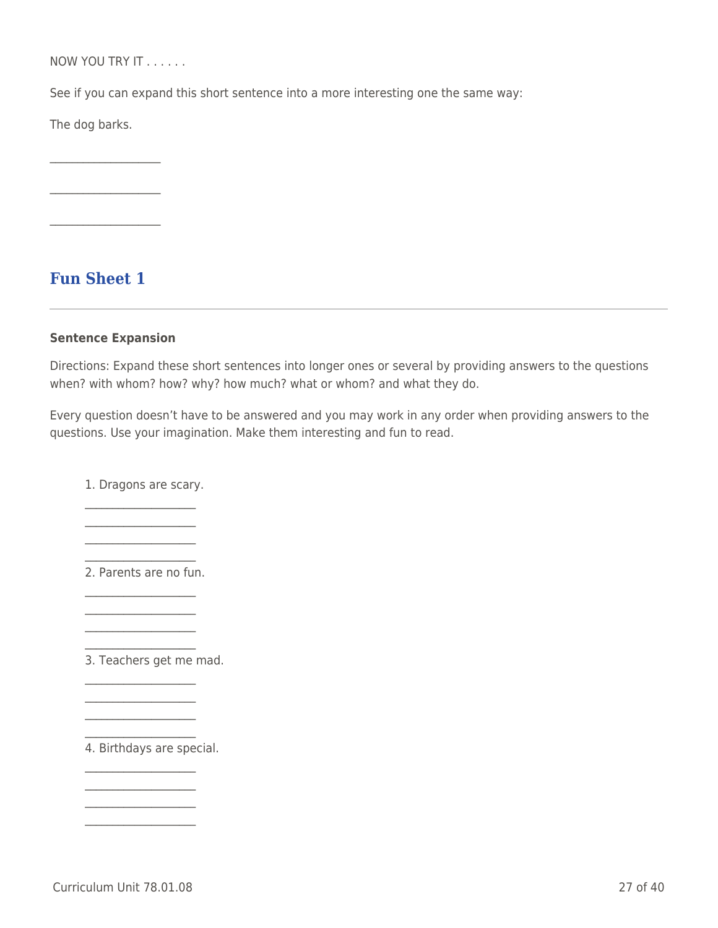NOW YOU TRY IT . . . . . .

See if you can expand this short sentence into a more interesting one the same way:

The dog barks.

 $\mathcal{L}=\mathcal{L}^{\mathcal{L}}$  , where  $\mathcal{L}^{\mathcal{L}}$ 

 $\mathcal{L}=\mathcal{L}^{\mathcal{L}}$  , where  $\mathcal{L}^{\mathcal{L}}$ 

 $\overline{\mathcal{L}}$  , and the set of the set of the set of the set of the set of the set of the set of the set of the set of the set of the set of the set of the set of the set of the set of the set of the set of the set of the s

**Fun Sheet 1**

#### **Sentence Expansion**

Directions: Expand these short sentences into longer ones or several by providing answers to the questions when? with whom? how? why? how much? what or whom? and what they do.

Every question doesn't have to be answered and you may work in any order when providing answers to the questions. Use your imagination. Make them interesting and fun to read.

1. Dragons are scary.  $\mathcal{L}=\mathcal{L}^{\mathcal{L}}$  , where  $\mathcal{L}^{\mathcal{L}}$ 

 $\mathcal{L}=\mathcal{L}^{\mathcal{L}}$  , where  $\mathcal{L}^{\mathcal{L}}$  $\mathcal{L}=\mathcal{L}^{\mathcal{L}}$  , where  $\mathcal{L}^{\mathcal{L}}$ 

 $\mathcal{L}=\mathcal{L}^{\mathcal{L}}$  , where  $\mathcal{L}^{\mathcal{L}}$ 2. Parents are no fun.

 $\mathcal{L}=\mathcal{L}^{\mathcal{L}}$  , where  $\mathcal{L}^{\mathcal{L}}$  $\mathcal{L}=\mathcal{L}^{\mathcal{L}}$  , where  $\mathcal{L}^{\mathcal{L}}$  $\mathcal{L}=\mathcal{L}^{\mathcal{L}}$  , where  $\mathcal{L}^{\mathcal{L}}$  $\mathcal{L}=\mathcal{L}^{\mathcal{L}}$  , where  $\mathcal{L}^{\mathcal{L}}$ 

 $\mathcal{L}=\mathcal{L}^{\mathcal{L}}$  , where  $\mathcal{L}^{\mathcal{L}}$  $\mathcal{L}=\mathcal{L}^{\mathcal{L}}$  , where  $\mathcal{L}^{\mathcal{L}}$  $\mathcal{L}=\mathcal{L}^{\mathcal{L}}$  , where  $\mathcal{L}^{\mathcal{L}}$  $\mathcal{L}=\mathcal{L}^{\mathcal{L}}$  , where  $\mathcal{L}^{\mathcal{L}}$ 

3. Teachers get me mad.

4. Birthdays are special.

 $\mathcal{L}=\mathcal{L}^{\mathcal{L}}$  , where  $\mathcal{L}^{\mathcal{L}}$  $\mathcal{L}=\mathcal{L}^{\mathcal{L}}$  , where  $\mathcal{L}^{\mathcal{L}}$  $\mathcal{L}=\mathcal{L}^{\mathcal{L}}$  , where  $\mathcal{L}^{\mathcal{L}}$  $\mathcal{L}=\mathcal{L}^{\mathcal{L}}$  , where  $\mathcal{L}^{\mathcal{L}}$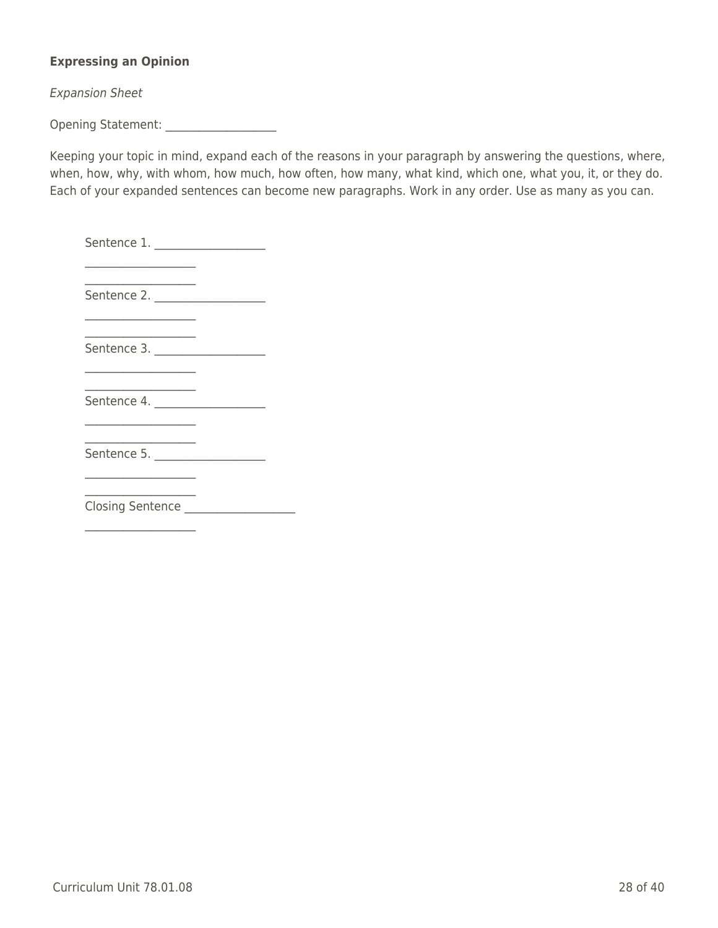## **Expressing an Opinion**

Expansion Sheet

Opening Statement: \_\_\_\_\_\_\_\_\_\_\_\_\_\_\_\_\_\_\_\_

Keeping your topic in mind, expand each of the reasons in your paragraph by answering the questions, where, when, how, why, with whom, how much, how often, how many, what kind, which one, what you, it, or they do. Each of your expanded sentences can become new paragraphs. Work in any order. Use as many as you can.

| Sentence 2.             |  |
|-------------------------|--|
|                         |  |
| Sentence 3.             |  |
|                         |  |
| Sentence 4.             |  |
|                         |  |
| Sentence 5.             |  |
|                         |  |
| <b>Closing Sentence</b> |  |

 $\mathcal{L}=\mathcal{L}^{\mathcal{L}}$  , where  $\mathcal{L}^{\mathcal{L}}$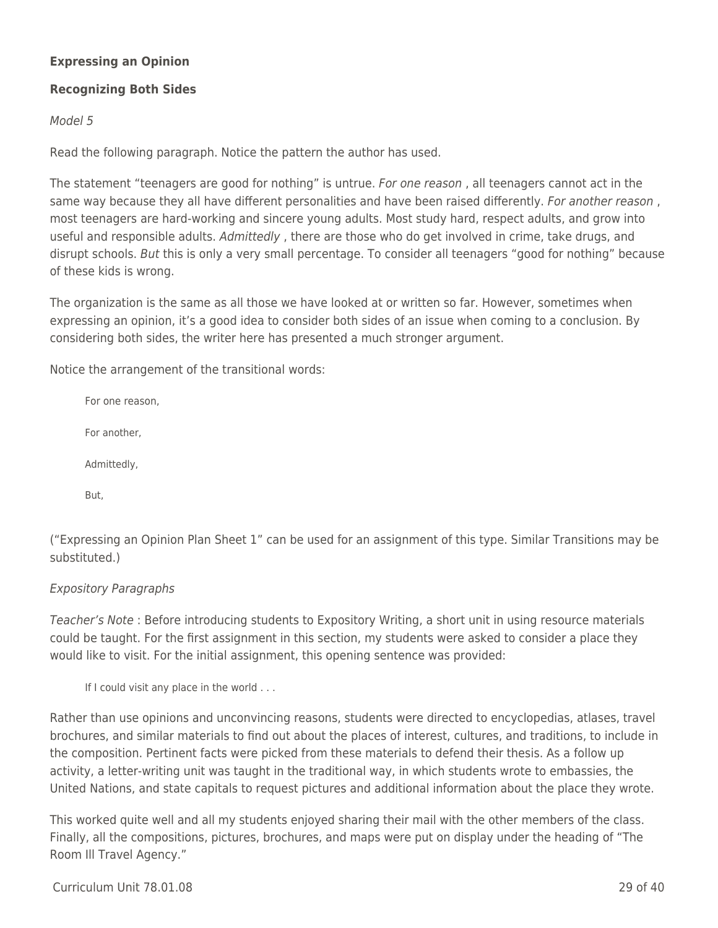## **Expressing an Opinion**

## **Recognizing Both Sides**

### Model 5

Read the following paragraph. Notice the pattern the author has used.

The statement "teenagers are good for nothing" is untrue. For one reason, all teenagers cannot act in the same way because they all have different personalities and have been raised differently. For another reason, most teenagers are hard-working and sincere young adults. Most study hard, respect adults, and grow into useful and responsible adults. Admittedly, there are those who do get involved in crime, take drugs, and disrupt schools. But this is only a very small percentage. To consider all teenagers "good for nothing" because of these kids is wrong.

The organization is the same as all those we have looked at or written so far. However, sometimes when expressing an opinion, it's a good idea to consider both sides of an issue when coming to a conclusion. By considering both sides, the writer here has presented a much stronger argument.

Notice the arrangement of the transitional words:

For one reason, For another, Admittedly, But,

("Expressing an Opinion Plan Sheet 1" can be used for an assignment of this type. Similar Transitions may be substituted.)

## Expository Paragraphs

Teacher's Note : Before introducing students to Expository Writing, a short unit in using resource materials could be taught. For the first assignment in this section, my students were asked to consider a place they would like to visit. For the initial assignment, this opening sentence was provided:

If I could visit any place in the world . . .

Rather than use opinions and unconvincing reasons, students were directed to encyclopedias, atlases, travel brochures, and similar materials to find out about the places of interest, cultures, and traditions, to include in the composition. Pertinent facts were picked from these materials to defend their thesis. As a follow up activity, a letter-writing unit was taught in the traditional way, in which students wrote to embassies, the United Nations, and state capitals to request pictures and additional information about the place they wrote.

This worked quite well and all my students enjoyed sharing their mail with the other members of the class. Finally, all the compositions, pictures, brochures, and maps were put on display under the heading of "The Room Ill Travel Agency."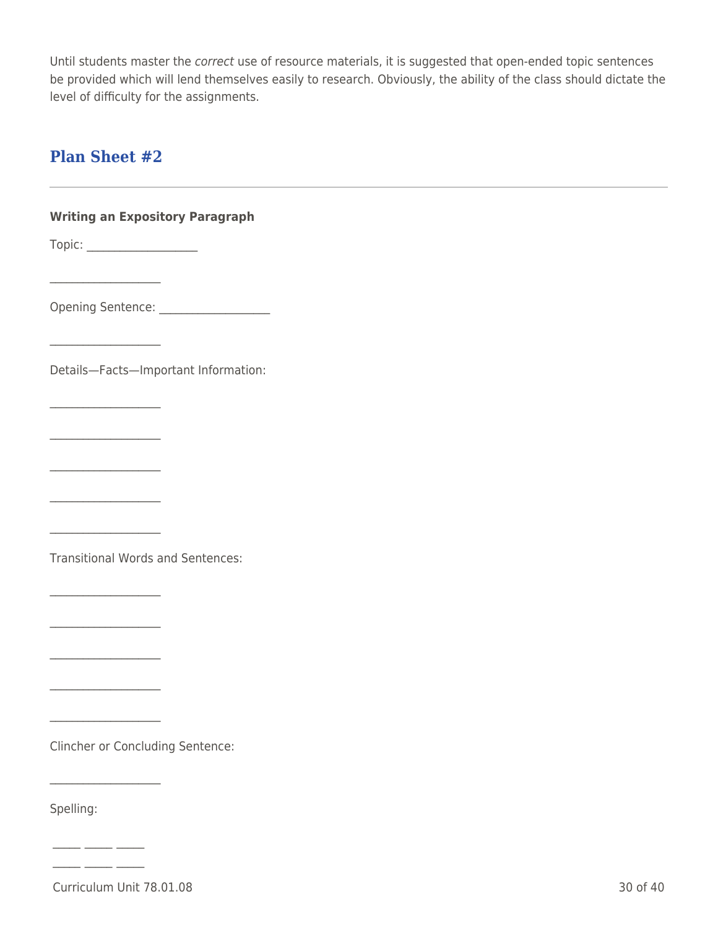Until students master the correct use of resource materials, it is suggested that open-ended topic sentences be provided which will lend themselves easily to research. Obviously, the ability of the class should dictate the level of difficulty for the assignments.

## **Plan Sheet #2**

 $\mathcal{L}=\mathcal{L}^{\mathcal{L}}$  , where  $\mathcal{L}^{\mathcal{L}}$ 

 $\mathcal{L}=\mathcal{L}^{\mathcal{L}}$  , where  $\mathcal{L}^{\mathcal{L}}$ 

 $\mathcal{L}=\mathcal{L}^{\mathcal{L}}$  , where  $\mathcal{L}^{\mathcal{L}}$ 

 $\mathcal{L}=\mathcal{L}^{\mathcal{L}}$  , where  $\mathcal{L}^{\mathcal{L}}$ 

 $\overline{\mathcal{L}}$  , and the set of the set of the set of the set of the set of the set of the set of the set of the set of the set of the set of the set of the set of the set of the set of the set of the set of the set of the s

 $\mathcal{L}=\mathcal{L}^{\mathcal{L}}$  , where  $\mathcal{L}^{\mathcal{L}}$ 

 $\overline{\mathcal{L}}$  , and the set of the set of the set of the set of the set of the set of the set of the set of the set of the set of the set of the set of the set of the set of the set of the set of the set of the set of the s

 $\mathcal{L}=\mathcal{L}^{\mathcal{L}}$  , where  $\mathcal{L}^{\mathcal{L}}$ 

 $\mathcal{L}=\mathcal{L}^{\mathcal{L}}$  , where  $\mathcal{L}^{\mathcal{L}}$ 

 $\mathcal{L}=\mathcal{L}^{\mathcal{L}}$  , where  $\mathcal{L}^{\mathcal{L}}$ 

 $\mathcal{L}=\mathcal{L}^{\mathcal{L}}$  , where  $\mathcal{L}^{\mathcal{L}}$ 

 $\mathcal{L}=\mathcal{L}^{\mathcal{L}}$  , where  $\mathcal{L}^{\mathcal{L}}$ 

 $-$ 

## **Writing an Expository Paragraph**

Topic: \_\_\_\_\_\_\_\_\_\_\_\_\_\_\_\_\_\_\_\_

Opening Sentence: \_\_\_\_\_\_\_\_\_\_\_\_\_\_\_\_\_\_\_\_

Details—Facts—Important Information:

Transitional Words and Sentences:

Clincher or Concluding Sentence:

Spelling:

Curriculum Unit 78.01.08 30 of 40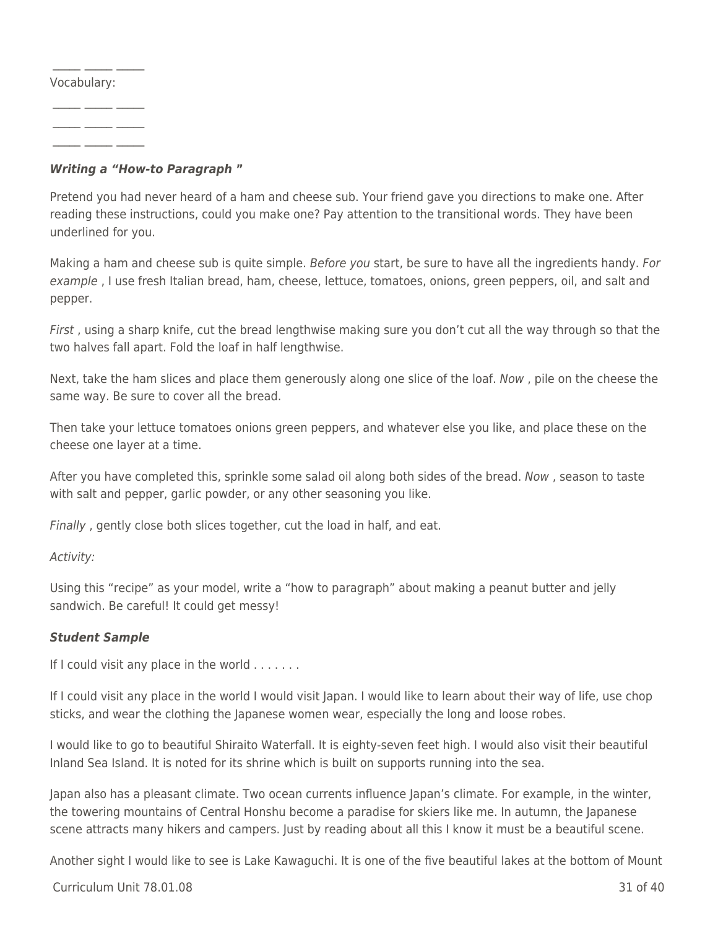Vocabulary:

 $\frac{1}{2}$  ,  $\frac{1}{2}$  ,  $\frac{1}{2}$  ,  $\frac{1}{2}$  ,  $\frac{1}{2}$ 

 $\_$   $\_$   $\_$   $\_$   $\_$ 

 $\frac{1}{2}$  ,  $\frac{1}{2}$  ,  $\frac{1}{2}$  ,  $\frac{1}{2}$  ,  $\frac{1}{2}$ 

 $-$ 

## *Writing a "How-to Paragraph* **"**

Pretend you had never heard of a ham and cheese sub. Your friend gave you directions to make one. After reading these instructions, could you make one? Pay attention to the transitional words. They have been underlined for you.

Making a ham and cheese sub is quite simple. Before you start, be sure to have all the ingredients handy. For example , I use fresh Italian bread, ham, cheese, lettuce, tomatoes, onions, green peppers, oil, and salt and pepper.

First, using a sharp knife, cut the bread lengthwise making sure you don't cut all the way through so that the two halves fall apart. Fold the loaf in half lengthwise.

Next, take the ham slices and place them generously along one slice of the loaf. Now , pile on the cheese the same way. Be sure to cover all the bread.

Then take your lettuce tomatoes onions green peppers, and whatever else you like, and place these on the cheese one layer at a time.

After you have completed this, sprinkle some salad oil along both sides of the bread. Now , season to taste with salt and pepper, garlic powder, or any other seasoning you like.

Finally , gently close both slices together, cut the load in half, and eat.

Activity:

Using this "recipe" as your model, write a "how to paragraph" about making a peanut butter and jelly sandwich. Be careful! It could get messy!

## *Student Sample*

If I could visit any place in the world  $\dots\dots$ .

If I could visit any place in the world I would visit Japan. I would like to learn about their way of life, use chop sticks, and wear the clothing the Japanese women wear, especially the long and loose robes.

I would like to go to beautiful Shiraito Waterfall. It is eighty-seven feet high. I would also visit their beautiful Inland Sea Island. It is noted for its shrine which is built on supports running into the sea.

Japan also has a pleasant climate. Two ocean currents influence Japan's climate. For example, in the winter, the towering mountains of Central Honshu become a paradise for skiers like me. In autumn, the Japanese scene attracts many hikers and campers. Just by reading about all this I know it must be a beautiful scene.

Another sight I would like to see is Lake Kawaguchi. It is one of the five beautiful lakes at the bottom of Mount

## Curriculum Unit 78.01.08 31 of 40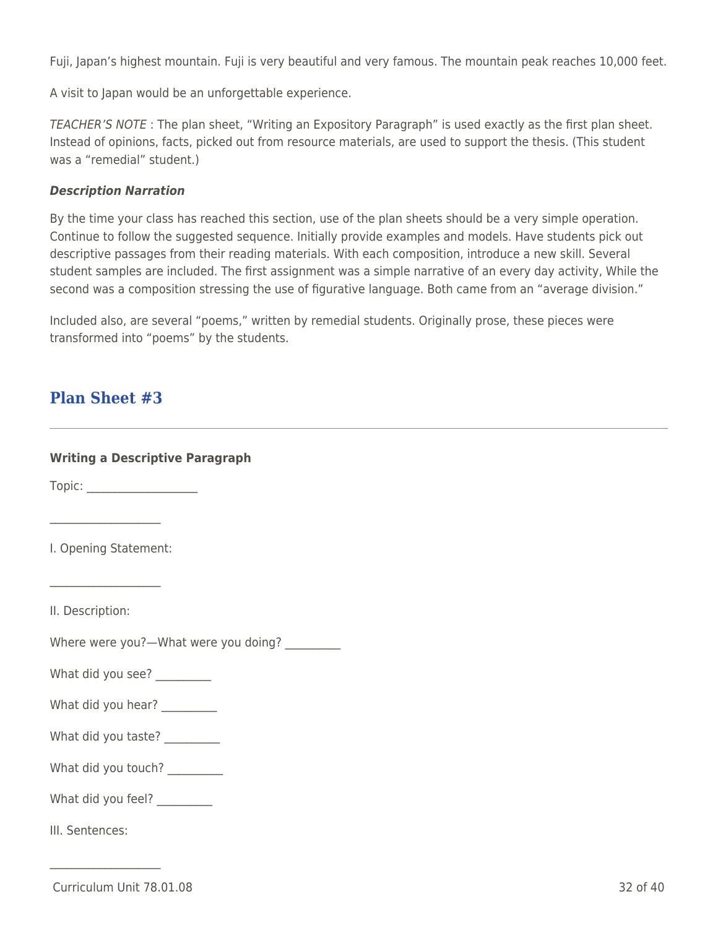Fuji, Japan's highest mountain. Fuji is very beautiful and very famous. The mountain peak reaches 10,000 feet.

A visit to Japan would be an unforgettable experience.

TEACHER'S NOTE : The plan sheet, "Writing an Expository Paragraph" is used exactly as the first plan sheet. Instead of opinions, facts, picked out from resource materials, are used to support the thesis. (This student was a "remedial" student.)

#### *Description Narration*

By the time your class has reached this section, use of the plan sheets should be a very simple operation. Continue to follow the suggested sequence. Initially provide examples and models. Have students pick out descriptive passages from their reading materials. With each composition, introduce a new skill. Several student samples are included. The first assignment was a simple narrative of an every day activity, While the second was a composition stressing the use of figurative language. Both came from an "average division."

Included also, are several "poems," written by remedial students. Originally prose, these pieces were transformed into "poems" by the students.

## **Plan Sheet #3**

| <b>Writing a Descriptive Paragraph</b>        |
|-----------------------------------------------|
|                                               |
|                                               |
| I. Opening Statement:                         |
|                                               |
| II. Description:                              |
| Where were you?-What were you doing? ________ |
| What did you see? ________                    |
| What did you hear? _________                  |
| What did you taste? _________                 |
| What did you touch? _________                 |
| What did you feel? _________                  |
| III. Sentences:                               |
|                                               |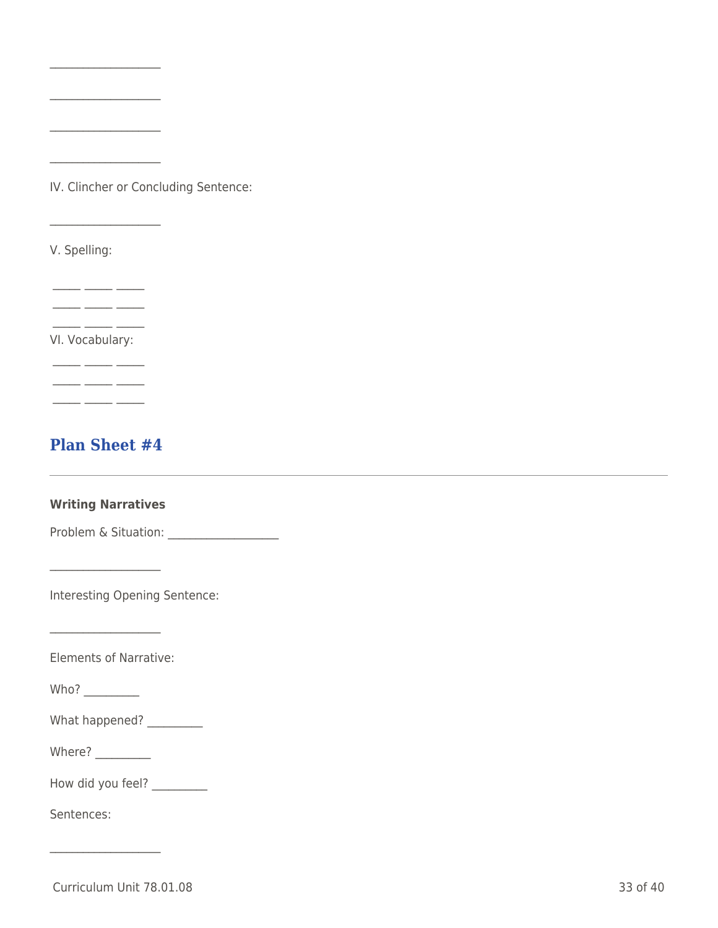IV. Clincher or Concluding Sentence:

 $\mathcal{L}_\text{max}$  and  $\mathcal{L}_\text{max}$  and  $\mathcal{L}_\text{max}$ 

 $\mathcal{L}=\mathcal{L}^{\mathcal{L}}$  , where  $\mathcal{L}^{\mathcal{L}}$ 

 $\overline{\mathcal{L}}$  , and the set of the set of the set of the set of the set of the set of the set of the set of the set of the set of the set of the set of the set of the set of the set of the set of the set of the set of the s

 $\mathcal{L}=\mathcal{L}^{\mathcal{L}}$  , where  $\mathcal{L}^{\mathcal{L}}$ 

\_\_\_\_\_\_\_\_\_\_\_\_\_\_\_\_\_\_\_\_

V. Spelling:

 $\overline{\phantom{a}}$   $\overline{\phantom{a}}$   $\overline{\phantom{a}}$   $\overline{\phantom{a}}$   $\overline{\phantom{a}}$   $\overline{\phantom{a}}$   $\overline{\phantom{a}}$  $\overline{\phantom{a}}$   $\overline{\phantom{a}}$   $\overline{\phantom{a}}$   $\overline{\phantom{a}}$   $\overline{\phantom{a}}$ 

VI. Vocabulary:

 $\overline{\phantom{a}}$   $\overline{\phantom{a}}$   $\overline{\phantom{a}}$   $\overline{\phantom{a}}$   $\overline{\phantom{a}}$   $\overline{\phantom{a}}$   $\overline{\phantom{a}}$   $\overline{\phantom{a}}$   $\overline{\phantom{a}}$   $\overline{\phantom{a}}$   $\overline{\phantom{a}}$   $\overline{\phantom{a}}$   $\overline{\phantom{a}}$   $\overline{\phantom{a}}$   $\overline{\phantom{a}}$   $\overline{\phantom{a}}$   $\overline{\phantom{a}}$   $\overline{\phantom{a}}$   $\overline{\$ 

 $\overline{\phantom{a}}$   $\overline{\phantom{a}}$   $\overline{\phantom{a}}$   $\overline{\phantom{a}}$   $\overline{\phantom{a}}$ 

 $\overline{\phantom{a}}$  , and the set of  $\overline{\phantom{a}}$ 

 $-$ 

## **Plan Sheet #4**

## **Writing Narratives**

Problem & Situation: \_\_\_\_\_\_\_\_\_\_\_\_\_\_\_\_\_\_\_\_

Interesting Opening Sentence:

Elements of Narrative:

 $\mathcal{L}=\mathcal{L}^{\mathcal{L}}$  , where  $\mathcal{L}^{\mathcal{L}}$ 

Who?  $\qquad$ 

| What happened? |  |
|----------------|--|
|----------------|--|

Where?  $\_\_$ 

 $\overline{\mathcal{L}}$  , and the set of the set of the set of the set of the set of the set of the set of the set of the set of the set of the set of the set of the set of the set of the set of the set of the set of the set of the s

How did you feel? \_\_\_\_\_\_\_\_\_\_

Sentences:

Curriculum Unit 78.01.08 33 of 40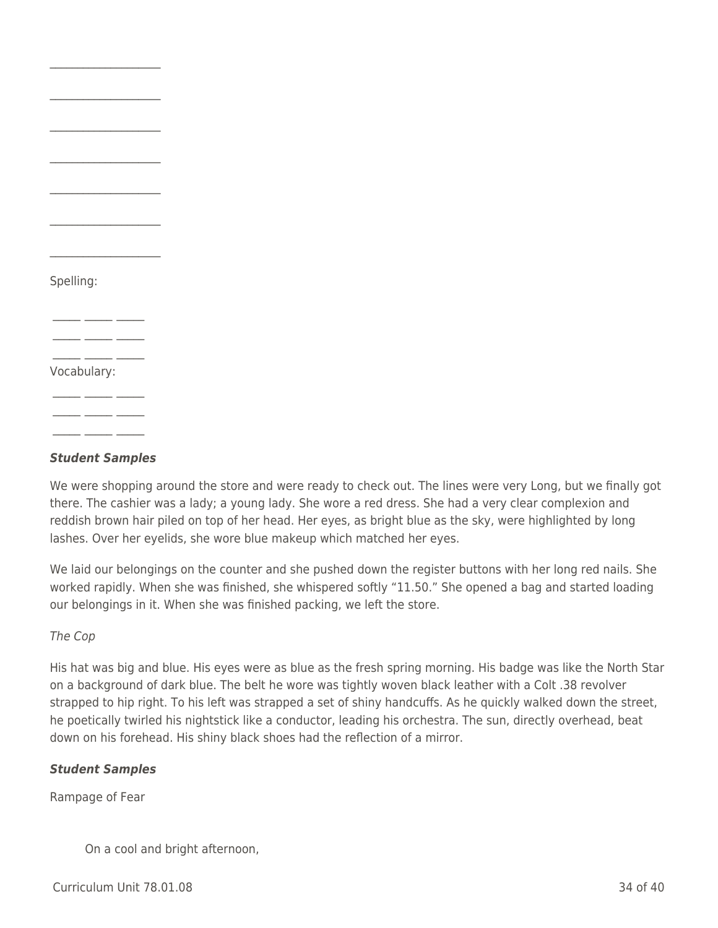| Spelling:   |  |
|-------------|--|
|             |  |
|             |  |
| Vocabulary: |  |
|             |  |
|             |  |

 $\mathcal{L}=\mathcal{L}^{\mathcal{L}}$  , where  $\mathcal{L}^{\mathcal{L}}$ 

 $\mathcal{L}=\mathcal{L}^{\mathcal{L}}$  , where  $\mathcal{L}^{\mathcal{L}}$ 

#### *Student Samples*

We were shopping around the store and were ready to check out. The lines were very Long, but we finally got there. The cashier was a lady; a young lady. She wore a red dress. She had a very clear complexion and reddish brown hair piled on top of her head. Her eyes, as bright blue as the sky, were highlighted by long lashes. Over her eyelids, she wore blue makeup which matched her eyes.

We laid our belongings on the counter and she pushed down the register buttons with her long red nails. She worked rapidly. When she was finished, she whispered softly "11.50." She opened a bag and started loading our belongings in it. When she was finished packing, we left the store.

#### The Cop

His hat was big and blue. His eyes were as blue as the fresh spring morning. His badge was like the North Star on a background of dark blue. The belt he wore was tightly woven black leather with a Colt .38 revolver strapped to hip right. To his left was strapped a set of shiny handcuffs. As he quickly walked down the street, he poetically twirled his nightstick like a conductor, leading his orchestra. The sun, directly overhead, beat down on his forehead. His shiny black shoes had the reflection of a mirror.

#### *Student Samples*

Rampage of Fear

On a cool and bright afternoon,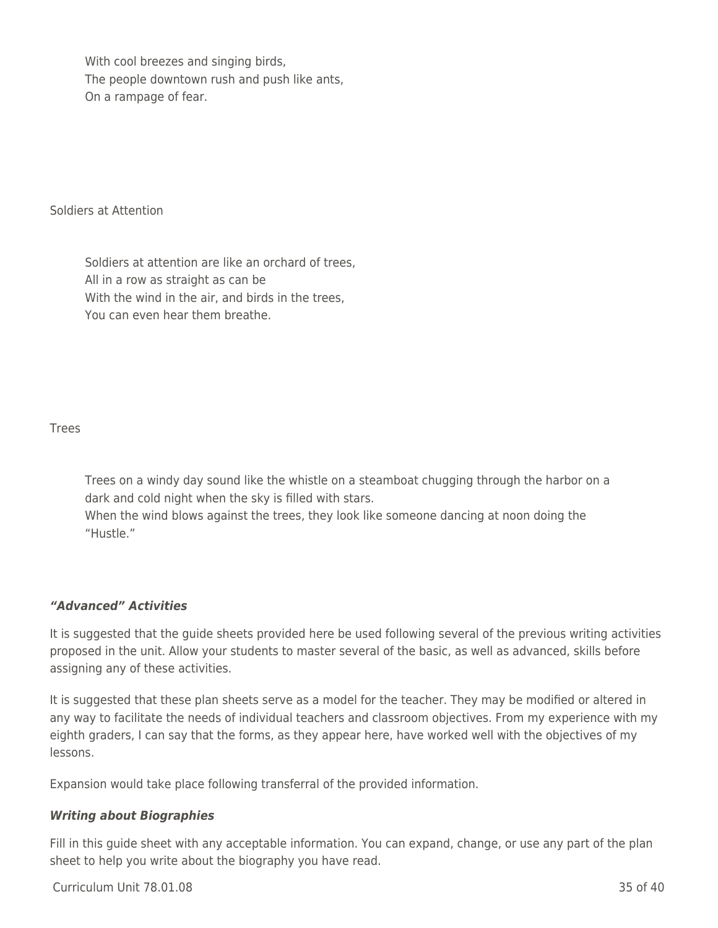With cool breezes and singing birds, The people downtown rush and push like ants, On a rampage of fear.

Soldiers at Attention

Soldiers at attention are like an orchard of trees, All in a row as straight as can be With the wind in the air, and birds in the trees, You can even hear them breathe.

Trees

Trees on a windy day sound like the whistle on a steamboat chugging through the harbor on a dark and cold night when the sky is filled with stars.

When the wind blows against the trees, they look like someone dancing at noon doing the "Hustle."

## *"Advanced" Activities*

It is suggested that the guide sheets provided here be used following several of the previous writing activities proposed in the unit. Allow your students to master several of the basic, as well as advanced, skills before assigning any of these activities.

It is suggested that these plan sheets serve as a model for the teacher. They may be modified or altered in any way to facilitate the needs of individual teachers and classroom objectives. From my experience with my eighth graders, I can say that the forms, as they appear here, have worked well with the objectives of my lessons.

Expansion would take place following transferral of the provided information.

## *Writing about Biographies*

Fill in this guide sheet with any acceptable information. You can expand, change, or use any part of the plan sheet to help you write about the biography you have read.

Curriculum Unit 78.01.08 35 of 40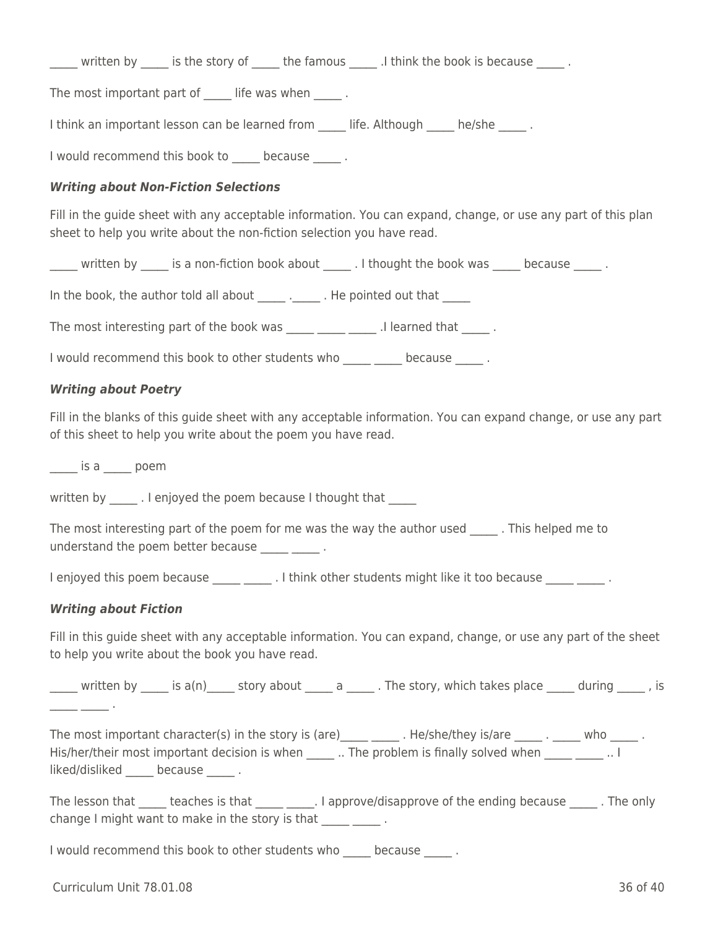written by and is the story of the famous and think the book is because in the famous and think the book is because

The most important part of life was when  $\Box$ .

I think an important lesson can be learned from Life. Although he/she .

I would recommend this book to because and because

### *Writing about Non-Fiction Selections*

Fill in the guide sheet with any acceptable information. You can expand, change, or use any part of this plan sheet to help you write about the non-fiction selection you have read.

\_\_\_\_\_ written by \_\_\_\_\_ is a non-fiction book about \_\_\_\_\_ . I thought the book was \_\_\_\_\_ because \_\_\_\_\_ .

In the book, the author told all about The pointed out that

The most interesting part of the book was \_\_\_\_\_ \_\_\_\_\_ \_\_\_\_\_\_ .I learned that \_\_\_\_\_\_ .

I would recommend this book to other students who because and because

### *Writing about Poetry*

Fill in the blanks of this guide sheet with any acceptable information. You can expand change, or use any part of this sheet to help you write about the poem you have read.

\_\_\_\_\_ is a \_\_\_\_\_ poem

written by . I enjoyed the poem because I thought that

The most interesting part of the poem for me was the way the author used . This helped me to understand the poem better because \_\_\_\_\_ \_\_\_\_\_ .

I enjoyed this poem because \_\_\_\_\_\_\_\_\_\_\_\_. I think other students might like it too because \_\_\_\_\_\_\_\_\_\_\_\_.

#### *Writing about Fiction*

Fill in this guide sheet with any acceptable information. You can expand, change, or use any part of the sheet to help you write about the book you have read.

written by  $\qquad$  is a(n)  $\qquad$  story about  $\qquad$  a  $\qquad$  . The story, which takes place  $\qquad$  during  $\qquad$  , is \_\_\_\_\_ \_\_\_\_\_ .

The most important character(s) in the story is (are) \_\_\_\_ \_\_\_\_\_ . He/she/they is/are \_\_\_\_\_ . \_\_\_\_\_ who \_\_\_\_\_ . His/her/their most important decision is when  $\Box$ . The problem is finally solved when  $\Box$ . I liked/disliked because .

The lesson that teaches is that 1.1 approve/disapprove of the ending because 1.1 The only change I might want to make in the story is that \_\_\_\_\_ \_\_\_\_\_\_.

I would recommend this book to other students who because in the state of  $\sim$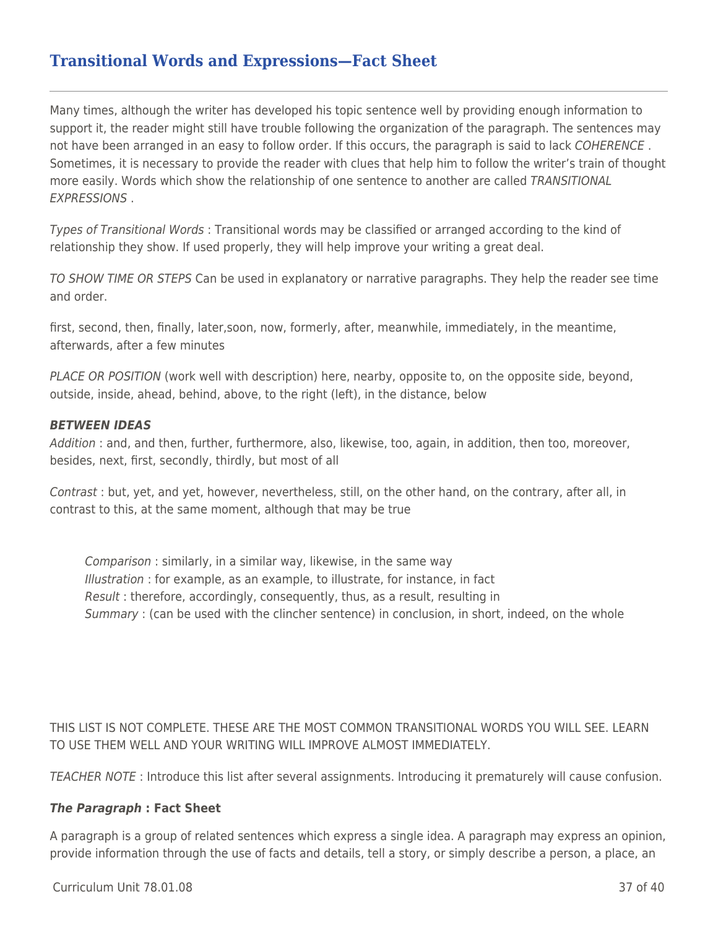## **Transitional Words and Expressions—Fact Sheet**

Many times, although the writer has developed his topic sentence well by providing enough information to support it, the reader might still have trouble following the organization of the paragraph. The sentences may not have been arranged in an easy to follow order. If this occurs, the paragraph is said to lack COHERENCE. Sometimes, it is necessary to provide the reader with clues that help him to follow the writer's train of thought more easily. Words which show the relationship of one sentence to another are called TRANSITIONAL EXPRESSIONS .

Types of Transitional Words : Transitional words may be classified or arranged according to the kind of relationship they show. If used properly, they will help improve your writing a great deal.

TO SHOW TIME OR STEPS Can be used in explanatory or narrative paragraphs. They help the reader see time and order.

first, second, then, finally, later,soon, now, formerly, after, meanwhile, immediately, in the meantime, afterwards, after a few minutes

PLACE OR POSITION (work well with description) here, nearby, opposite to, on the opposite side, beyond, outside, inside, ahead, behind, above, to the right (left), in the distance, below

#### *BETWEEN IDEAS*

Addition : and, and then, further, furthermore, also, likewise, too, again, in addition, then too, moreover, besides, next, first, secondly, thirdly, but most of all

Contrast : but, yet, and yet, however, nevertheless, still, on the other hand, on the contrary, after all, in contrast to this, at the same moment, although that may be true

Comparison : similarly, in a similar way, likewise, in the same way Illustration : for example, as an example, to illustrate, for instance, in fact Result : therefore, accordingly, consequently, thus, as a result, resulting in Summary : (can be used with the clincher sentence) in conclusion, in short, indeed, on the whole

THIS LIST IS NOT COMPLETE. THESE ARE THE MOST COMMON TRANSITIONAL WORDS YOU WILL SEE. LEARN TO USE THEM WELL AND YOUR WRITING WILL IMPROVE ALMOST IMMEDIATELY.

TEACHER NOTE : Introduce this list after several assignments. Introducing it prematurely will cause confusion.

#### *The Paragraph* **: Fact Sheet**

A paragraph is a group of related sentences which express a single idea. A paragraph may express an opinion, provide information through the use of facts and details, tell a story, or simply describe a person, a place, an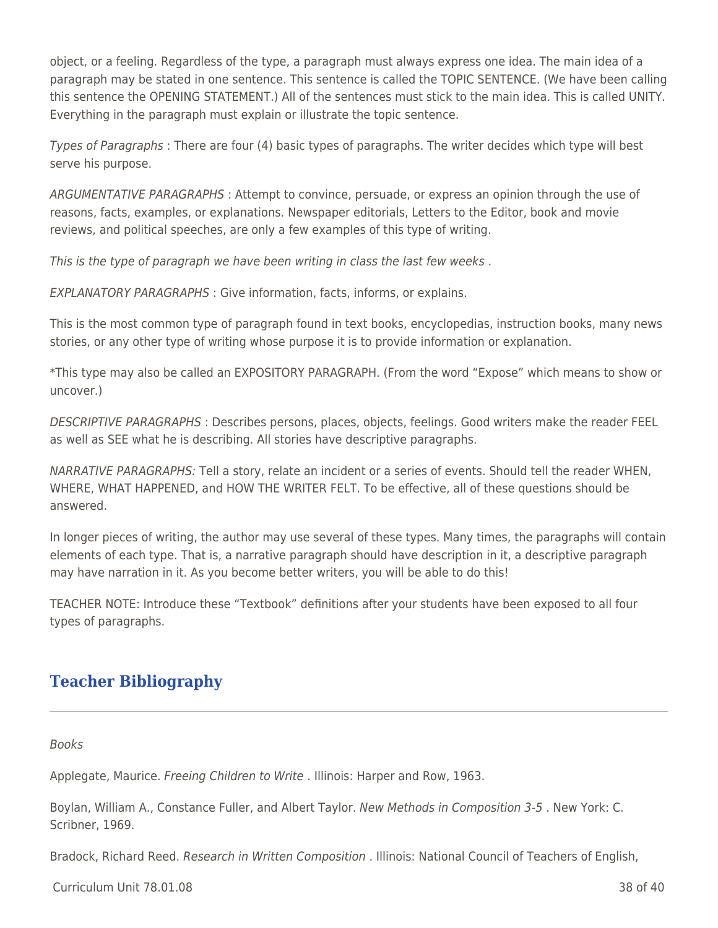object, or a feeling. Regardless of the type, a paragraph must always express one idea. The main idea of a paragraph may be stated in one sentence. This sentence is called the TOPIC SENTENCE. (We have been calling this sentence the OPENING STATEMENT.) All of the sentences must stick to the main idea. This is called UNITY. Everything in the paragraph must explain or illustrate the topic sentence.

Types of Paragraphs : There are four (4) basic types of paragraphs. The writer decides which type will best serve his purpose.

ARGUMENTATIVE PARAGRAPHS : Attempt to convince, persuade, or express an opinion through the use of reasons, facts, examples, or explanations. Newspaper editorials, Letters to the Editor, book and movie reviews, and political speeches, are only a few examples of this type of writing.

This is the type of paragraph we have been writing in class the last few weeks .

EXPLANATORY PARAGRAPHS : Give information, facts, informs, or explains.

This is the most common type of paragraph found in text books, encyclopedias, instruction books, many news stories, or any other type of writing whose purpose it is to provide information or explanation.

\*This type may also be called an EXPOSITORY PARAGRAPH. (From the word "Expose" which means to show or uncover.)

DESCRIPTIVE PARAGRAPHS : Describes persons, places, objects, feelings. Good writers make the reader FEEL as well as SEE what he is describing. All stories have descriptive paragraphs.

NARRATIVE PARAGRAPHS: Tell a story, relate an incident or a series of events. Should tell the reader WHEN, WHERE, WHAT HAPPENED, and HOW THE WRITER FELT. To be effective, all of these questions should be answered.

In longer pieces of writing, the author may use several of these types. Many times, the paragraphs will contain elements of each type. That is, a narrative paragraph should have description in it, a descriptive paragraph may have narration in it. As you become better writers, you will be able to do this!

TEACHER NOTE: Introduce these "Textbook" definitions after your students have been exposed to all four types of paragraphs.

# **Teacher Bibliography**

Books

Applegate, Maurice. Freeing Children to Write . Illinois: Harper and Row, 1963.

Boylan, William A., Constance Fuller, and Albert Taylor. New Methods in Composition 3-5 . New York: C. Scribner, 1969.

Bradock, Richard Reed. Research in Written Composition . Illinois: National Council of Teachers of English,

Curriculum Unit 78.01.08 38 of 40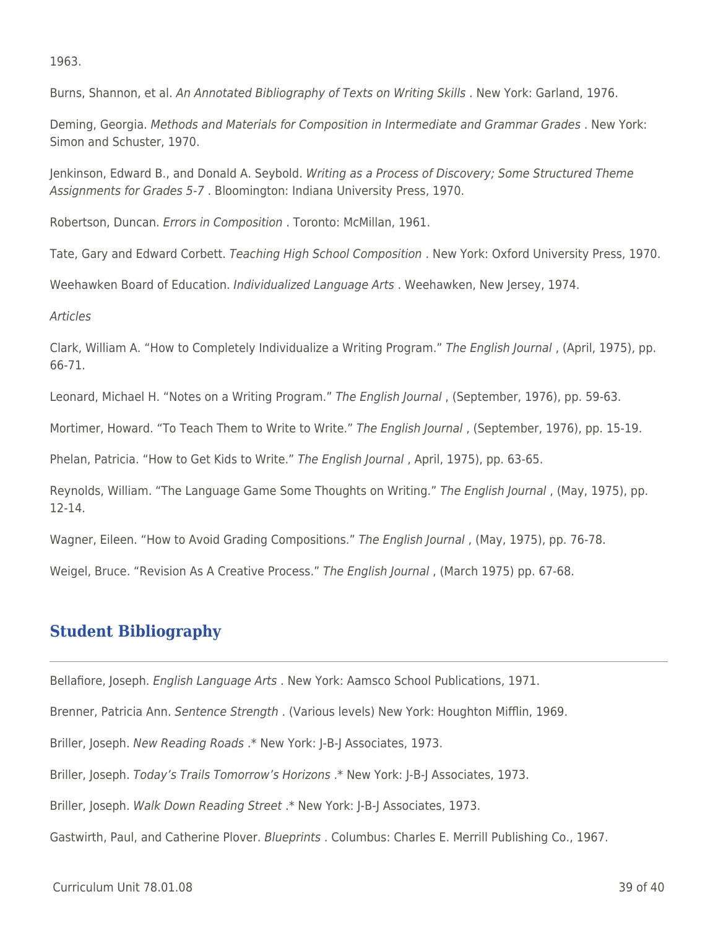1963.

Burns, Shannon, et al. An Annotated Bibliography of Texts on Writing Skills . New York: Garland, 1976.

Deming, Georgia. Methods and Materials for Composition in Intermediate and Grammar Grades . New York: Simon and Schuster, 1970.

Jenkinson, Edward B., and Donald A. Seybold. Writing as a Process of Discovery; Some Structured Theme Assignments for Grades 5-7 . Bloomington: Indiana University Press, 1970.

Robertson, Duncan. Errors in Composition . Toronto: McMillan, 1961.

Tate, Gary and Edward Corbett. Teaching High School Composition . New York: Oxford University Press, 1970.

Weehawken Board of Education. *Individualized Language Arts* . Weehawken, New Jersey, 1974.

#### Articles

Clark, William A. "How to Completely Individualize a Writing Program." The English Journal , (April, 1975), pp. 66-71.

Leonard, Michael H. "Notes on a Writing Program." The English Journal , (September, 1976), pp. 59-63.

Mortimer, Howard. "To Teach Them to Write to Write." The English Journal, (September, 1976), pp. 15-19.

Phelan, Patricia. "How to Get Kids to Write." The English Journal, April, 1975), pp. 63-65.

Reynolds, William. "The Language Game Some Thoughts on Writing." The English Journal , (May, 1975), pp. 12-14.

Wagner, Eileen. "How to Avoid Grading Compositions." The English Journal, (May, 1975), pp. 76-78.

Weigel, Bruce. "Revision As A Creative Process." The English Journal , (March 1975) pp. 67-68.

## **Student Bibliography**

Bellafiore, Joseph. English Language Arts . New York: Aamsco School Publications, 1971.

Brenner, Patricia Ann. Sentence Strength . (Various levels) New York: Houghton Mifflin, 1969.

Briller, Joseph. New Reading Roads .\* New York: J-B-J Associates, 1973.

Briller, Joseph. Today's Trails Tomorrow's Horizons .\* New York: J-B-J Associates, 1973.

Briller, Joseph. Walk Down Reading Street .\* New York: J-B-J Associates, 1973.

Gastwirth, Paul, and Catherine Plover. Blueprints . Columbus: Charles E. Merrill Publishing Co., 1967.